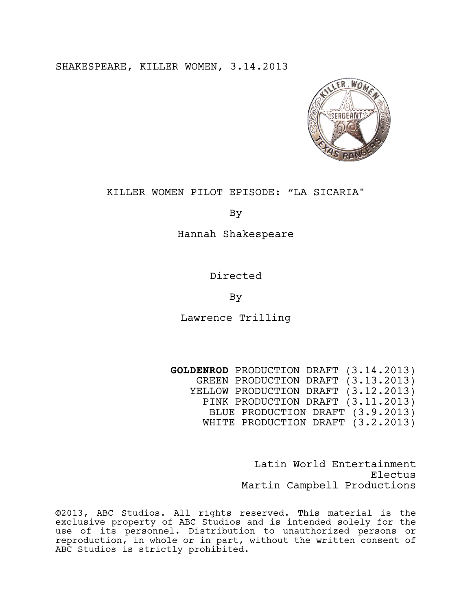SHAKESPEARE, KILLER WOMEN, 3.14.2013



# KILLER WOMEN PILOT EPISODE: "LA SICARIA"

By

Hannah Shakespeare

Directed

By

Lawrence Trilling

**GOLDENROD** PRODUCTION DRAFT (3.14.2013) GREEN PRODUCTION DRAFT (3.13.2013) YELLOW PRODUCTION DRAFT (3.12.2013) PINK PRODUCTION DRAFT (3.11.2013) BLUE PRODUCTION DRAFT (3.9.2013) WHITE PRODUCTION DRAFT (3.2.2013)

> Latin World Entertainment Electus Martin Campbell Productions

©2013, ABC Studios. All rights reserved. This material is the exclusive property of ABC Studios and is intended solely for the use of its personnel. Distribution to unauthorized persons or reproduction, in whole or in part, without the written consent of ABC Studios is strictly prohibited.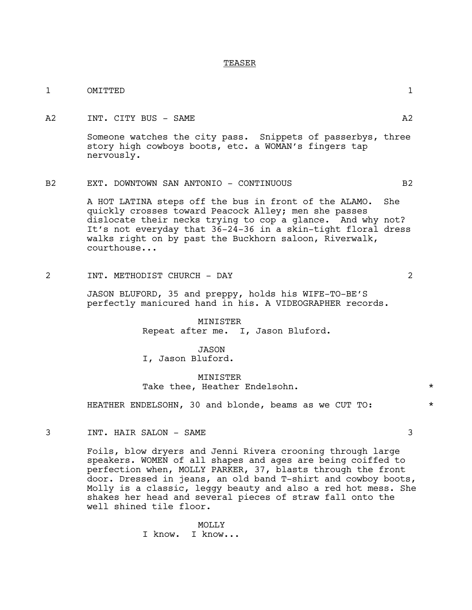#### TEASER

| OMITTED                                                                                                                                                                                                                                                                                                                 | $\mathbf{1}$                                         |
|-------------------------------------------------------------------------------------------------------------------------------------------------------------------------------------------------------------------------------------------------------------------------------------------------------------------------|------------------------------------------------------|
| INT. CITY BUS - SAME                                                                                                                                                                                                                                                                                                    | A2                                                   |
| Someone watches the city pass. Snippets of passerbys, three<br>story high cowboys boots, etc. a WOMAN's fingers tap<br>nervously.                                                                                                                                                                                       |                                                      |
| EXT. DOWNTOWN SAN ANTONIO - CONTINUOUS                                                                                                                                                                                                                                                                                  | B2                                                   |
| A HOT LATINA steps off the bus in front of the ALAMO. She<br>quickly crosses toward Peacock Alley; men she passes<br>dislocate their necks trying to cop a glance. And why not?<br>It's not everyday that 36-24-36 in a skin-tight floral dress<br>walks right on by past the Buckhorn saloon, Riverwalk,<br>courthouse |                                                      |
| INT. METHODIST CHURCH - DAY                                                                                                                                                                                                                                                                                             | $\mathcal{L}$                                        |
|                                                                                                                                                                                                                                                                                                                         | TROON DIJICODO 25 and proppir holds his WIFF TO DELC |

JASON BLUFORD, 35 and preppy, holds his WIFE-TO-BE'S perfectly manicured hand in his. A VIDEOGRAPHER records.

> MINISTER Repeat after me. I, Jason Bluford.

JASON I, Jason Bluford.

# MINISTER Take thee, Heather Endelsohn.  $\star$

HEATHER ENDELSOHN, 30 and blonde, beams as we CUT TO:  $*$ 

3 INT. HAIR SALON – SAME 3

Foils, blow dryers and Jenni Rivera crooning through large speakers. WOMEN of all shapes and ages are being coiffed to perfection when, MOLLY PARKER, 37, blasts through the front door. Dressed in jeans, an old band T-shirt and cowboy boots, Molly is a classic, leggy beauty and also a red hot mess. She shakes her head and several pieces of straw fall onto the well shined tile floor.

> MOLLY I know. I know...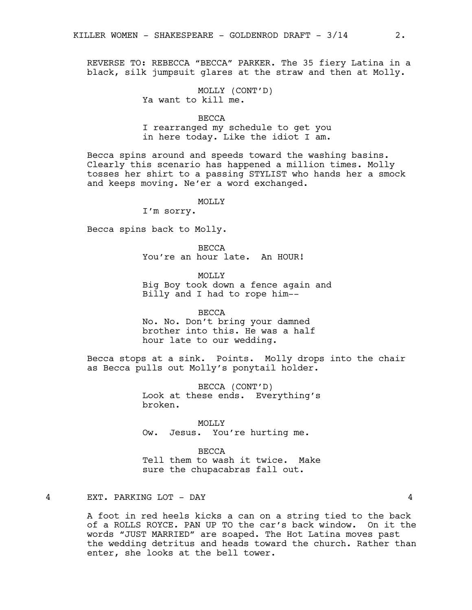REVERSE TO: REBECCA "BECCA" PARKER. The 35 fiery Latina in a black, silk jumpsuit glares at the straw and then at Molly.

> MOLLY (CONT'D) Ya want to kill me.

BECCA I rearranged my schedule to get you in here today. Like the idiot I am.

Becca spins around and speeds toward the washing basins. Clearly this scenario has happened a million times. Molly tosses her shirt to a passing STYLIST who hands her a smock and keeps moving. Ne'er a word exchanged.

MOLLY

I'm sorry.

Becca spins back to Molly.

BECCA You're an hour late. An HOUR!

MOLLY Big Boy took down a fence again and Billy and I had to rope him--

BECCA No. No. Don't bring your damned brother into this. He was a half hour late to our wedding.

Becca stops at a sink. Points. Molly drops into the chair as Becca pulls out Molly's ponytail holder.

> BECCA (CONT'D) Look at these ends. Everything's broken.

MOLLY Ow. Jesus. You're hurting me.

BECCA Tell them to wash it twice. Make sure the chupacabras fall out.

# 4 EXT. PARKING LOT - DAY 4

A foot in red heels kicks a can on a string tied to the back of a ROLLS ROYCE. PAN UP TO the car's back window. On it the words "JUST MARRIED" are soaped. The Hot Latina moves past the wedding detritus and heads toward the church. Rather than enter, she looks at the bell tower.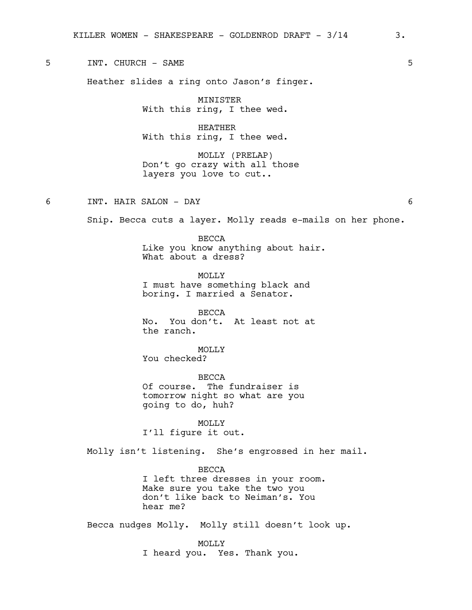5 INT. CHURCH - SAME 5

Heather slides a ring onto Jason's finger.

MINISTER With this ring, I thee wed.

HEATHER With this ring, I thee wed.

MOLLY (PRELAP) Don't go crazy with all those layers you love to cut..

6 INT. HAIR SALON - DAY 6

Snip. Becca cuts a layer. Molly reads e-mails on her phone.

BECCA Like you know anything about hair. What about a dress?

MOLLY I must have something black and boring. I married a Senator.

BECCA No. You don't. At least not at the ranch.

MOLLY You checked?

BECCA Of course. The fundraiser is tomorrow night so what are you going to do, huh?

MOLLY<sub>N</sub> I'll figure it out.

Molly isn't listening. She's engrossed in her mail.

BECCA

I left three dresses in your room. Make sure you take the two you don't like back to Neiman's. You hear me?

Becca nudges Molly. Molly still doesn't look up.

MOLLY I heard you. Yes. Thank you.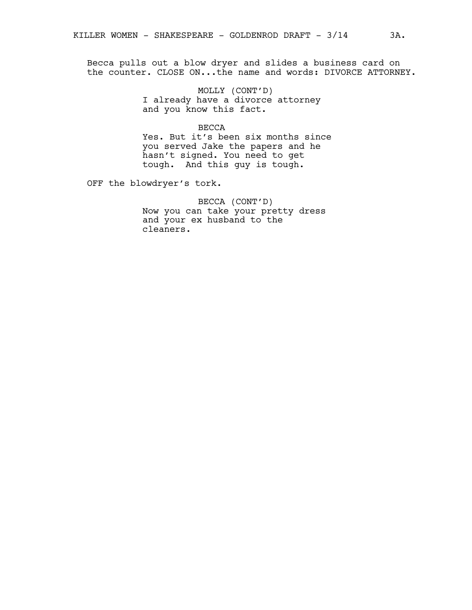Becca pulls out a blow dryer and slides a business card on the counter. CLOSE ON...the name and words: DIVORCE ATTORNEY.

> MOLLY (CONT'D) I already have a divorce attorney and you know this fact.

BECCA Yes. But it's been six months since you served Jake the papers and he hasn't signed. You need to get tough. And this guy is tough.

OFF the blowdryer's tork.

BECCA (CONT'D) Now you can take your pretty dress and your ex husband to the cleaners.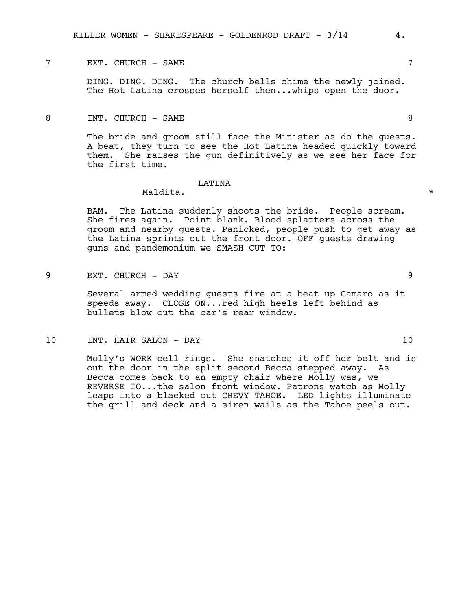# T EXT. CHURCH - SAME 7

DING. DING. DING. The church bells chime the newly joined. The Hot Latina crosses herself then...whips open the door.

8 INT. CHURCH - SAME 8

The bride and groom still face the Minister as do the quests. A beat, they turn to see the Hot Latina headed quickly toward them. She raises the gun definitively as we see her face for the first time.

#### LATINA

# Maldita. \*

BAM. The Latina suddenly shoots the bride. People scream. She fires again. Point blank. Blood splatters across the groom and nearby guests. Panicked, people push to get away as the Latina sprints out the front door. OFF guests drawing guns and pandemonium we SMASH CUT TO:

9 EXT. CHURCH - DAY 9

Several armed wedding guests fire at a beat up Camaro as it speeds away. CLOSE ON...red high heels left behind as bullets blow out the car's rear window.

10 INT. HAIR SALON - DAY 10

Molly's WORK cell rings. She snatches it off her belt and is out the door in the split second Becca stepped away. As Becca comes back to an empty chair where Molly was, we REVERSE TO...the salon front window. Patrons watch as Molly leaps into a blacked out CHEVY TAHOE. LED lights illuminate the grill and deck and a siren wails as the Tahoe peels out.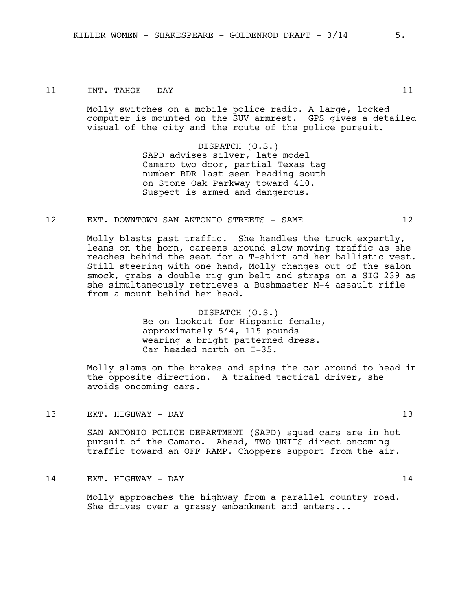#### 11 INT. TAHOE – DAY 11

Molly switches on a mobile police radio. A large, locked computer is mounted on the SUV armrest. GPS gives a detailed visual of the city and the route of the police pursuit.

> DISPATCH (O.S.) SAPD advises silver, late model Camaro two door, partial Texas tag number BDR last seen heading south on Stone Oak Parkway toward 410. Suspect is armed and dangerous.

# 12 EXT. DOWNTOWN SAN ANTONIO STREETS - SAME 12

Molly blasts past traffic. She handles the truck expertly, leans on the horn, careens around slow moving traffic as she reaches behind the seat for a T-shirt and her ballistic vest. Still steering with one hand, Molly changes out of the salon smock, grabs a double rig gun belt and straps on a SIG 239 as she simultaneously retrieves a Bushmaster M-4 assault rifle from a mount behind her head.

> DISPATCH (O.S.) Be on lookout for Hispanic female, approximately 5'4, 115 pounds wearing a bright patterned dress. Car headed north on I-35.

Molly slams on the brakes and spins the car around to head in the opposite direction. A trained tactical driver, she avoids oncoming cars.

13 EXT. HIGHWAY - DAY 13

SAN ANTONIO POLICE DEPARTMENT (SAPD) squad cars are in hot pursuit of the Camaro. Ahead, TWO UNITS direct oncoming traffic toward an OFF RAMP. Choppers support from the air.

# 14 EXT. HIGHWAY - DAY 14

Molly approaches the highway from a parallel country road. She drives over a grassy embankment and enters...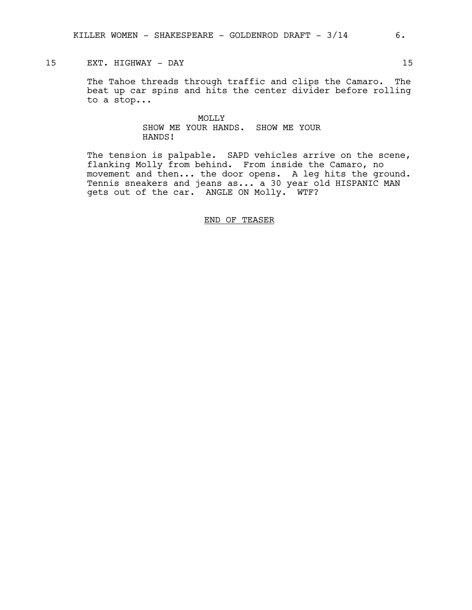# 15 EXT. HIGHWAY - DAY 15

The Tahoe threads through traffic and clips the Camaro. The beat up car spins and hits the center divider before rolling to a stop...

# MOLLY SHOW ME YOUR HANDS. SHOW ME YOUR HANDS!

The tension is palpable. SAPD vehicles arrive on the scene, flanking Molly from behind. From inside the Camaro, no movement and then... the door opens. A leg hits the ground. Tennis sneakers and jeans as... a 30 year old HISPANIC MAN gets out of the car. ANGLE ON Molly. WTF?

#### END OF TEASER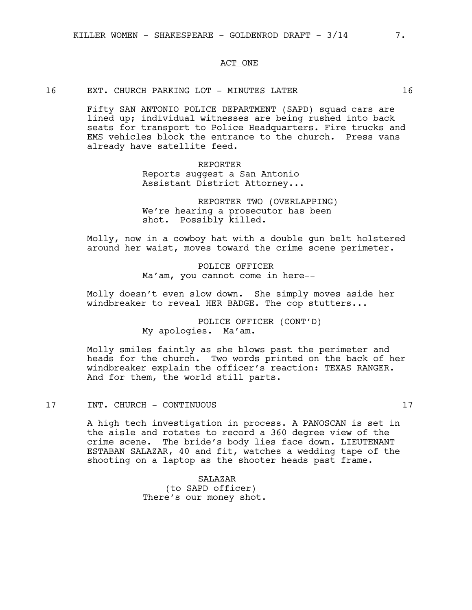## ACT ONE

16 EXT. CHURCH PARKING LOT - MINUTES LATER 16

Fifty SAN ANTONIO POLICE DEPARTMENT (SAPD) squad cars are lined up; individual witnesses are being rushed into back seats for transport to Police Headquarters. Fire trucks and EMS vehicles block the entrance to the church. Press vans already have satellite feed.

> REPORTER Reports suggest a San Antonio Assistant District Attorney...

REPORTER TWO (OVERLAPPING) We're hearing a prosecutor has been shot. Possibly killed.

Molly, now in a cowboy hat with a double gun belt holstered around her waist, moves toward the crime scene perimeter.

> POLICE OFFICER Ma'am, you cannot come in here--

Molly doesn't even slow down. She simply moves aside her windbreaker to reveal HER BADGE. The cop stutters...

> POLICE OFFICER (CONT'D) My apologies. Ma'am.

Molly smiles faintly as she blows past the perimeter and heads for the church. Two words printed on the back of her windbreaker explain the officer's reaction: TEXAS RANGER. And for them, the world still parts.

#### 17 INT. CHURCH - CONTINUOUS 17

A high tech investigation in process. A PANOSCAN is set in the aisle and rotates to record a 360 degree view of the crime scene. The bride's body lies face down. LIEUTENANT ESTABAN SALAZAR, 40 and fit, watches a wedding tape of the shooting on a laptop as the shooter heads past frame.

> SALAZAR (to SAPD officer) There's our money shot.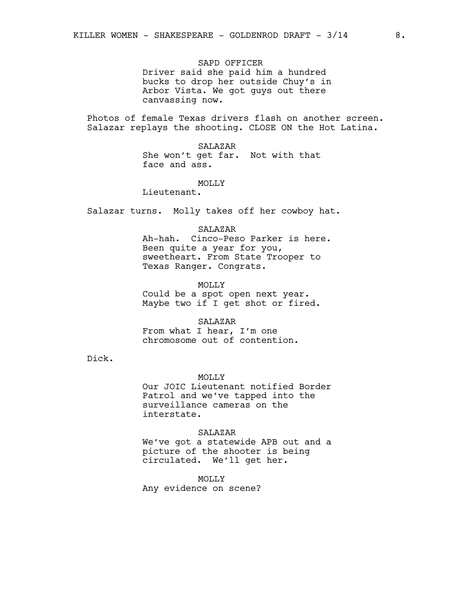SAPD OFFICER

Driver said she paid him a hundred bucks to drop her outside Chuy's in Arbor Vista. We got guys out there canvassing now.

Photos of female Texas drivers flash on another screen. Salazar replays the shooting. CLOSE ON the Hot Latina.

> SALAZAR She won't get far. Not with that face and ass.

> > MOLLY

Lieutenant.

Salazar turns. Molly takes off her cowboy hat.

SALAZAR

Ah-hah. Cinco-Peso Parker is here. Been quite a year for you, sweetheart. From State Trooper to Texas Ranger. Congrats.

MOLLY

Could be a spot open next year. Maybe two if I get shot or fired.

SALAZAR

From what I hear, I'm one chromosome out of contention.

Dick.

MOLLY

Our JOIC Lieutenant notified Border Patrol and we've tapped into the surveillance cameras on the interstate.

#### SALAZAR

We've got a statewide APB out and a picture of the shooter is being circulated. We'll get her.

MOLLY

Any evidence on scene?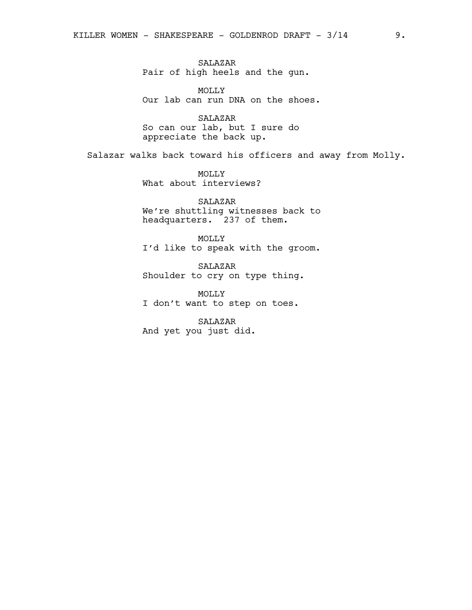SALAZAR Pair of high heels and the gun.

MOLLY Our lab can run DNA on the shoes.

SALAZAR So can our lab, but I sure do appreciate the back up.

Salazar walks back toward his officers and away from Molly.

MOLLY What about interviews?

SALAZAR We're shuttling witnesses back to headquarters. 237 of them.

MOLLY I'd like to speak with the groom.

SALAZAR Shoulder to cry on type thing.

MOLLY I don't want to step on toes.

SALAZAR And yet you just did.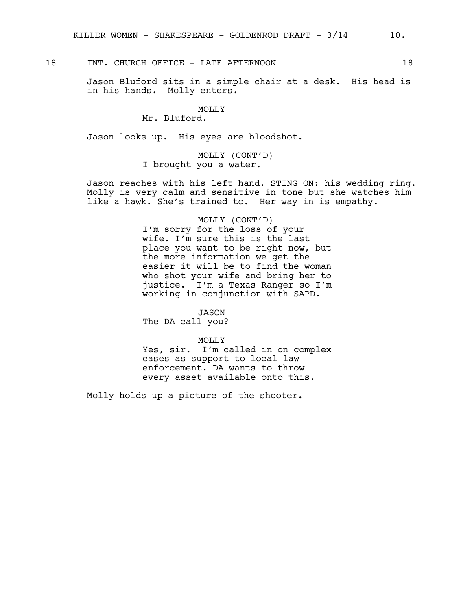18 INT. CHURCH OFFICE - LATE AFTERNOON 18

Jason Bluford sits in a simple chair at a desk. His head is in his hands. Molly enters.

# MOLLY

# Mr. Bluford.

Jason looks up. His eyes are bloodshot.

MOLLY (CONT'D) I brought you a water.

Jason reaches with his left hand. STING ON: his wedding ring. Molly is very calm and sensitive in tone but she watches him like a hawk. She's trained to. Her way in is empathy.

#### MOLLY (CONT'D)

I'm sorry for the loss of your wife. I'm sure this is the last place you want to be right now, but the more information we get the easier it will be to find the woman who shot your wife and bring her to justice. I'm a Texas Ranger so I'm working in conjunction with SAPD.

JASON

The DA call you?

MOLLY

Yes, sir. I'm called in on complex cases as support to local law enforcement. DA wants to throw every asset available onto this.

Molly holds up a picture of the shooter.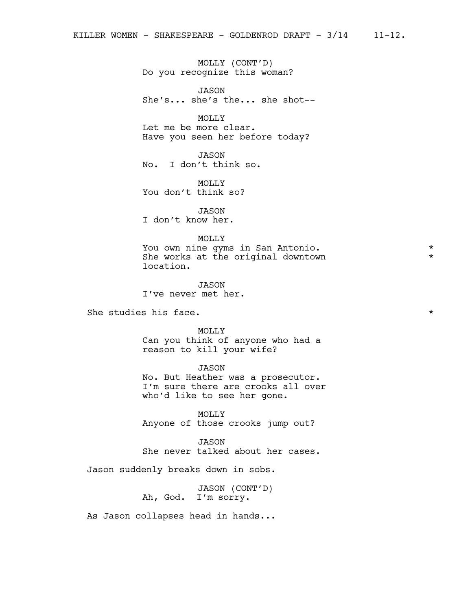MOLLY (CONT'D) Do you recognize this woman?

JASON She's... she's the... she shot--

MOLLY Let me be more clear. Have you seen her before today?

JASON No. I don't think so.

MOLLY You don't think so?

JASON

I don't know her.

#### MOLLY

You own nine gyms in San Antonio. \* She works at the original downtown location.

JASON I've never met her.

She studies his face.  $\star$ 

MOLLY

Can you think of anyone who had a reason to kill your wife?

### JASON

No. But Heather was a prosecutor. I'm sure there are crooks all over who'd like to see her gone.

MOLLY Anyone of those crooks jump out?

JASON She never talked about her cases.

Jason suddenly breaks down in sobs.

JASON (CONT'D) Ah, God. I'm sorry.

As Jason collapses head in hands...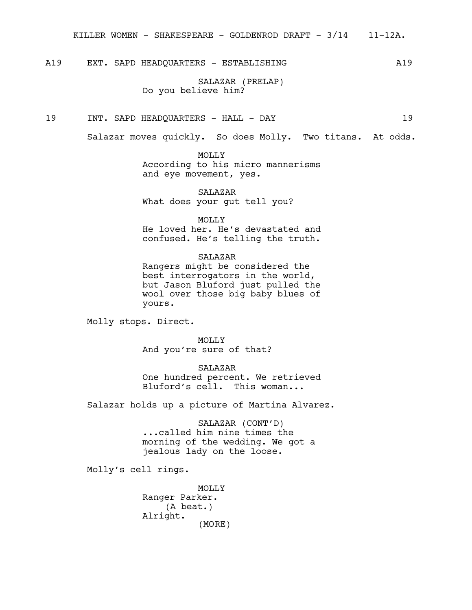A19 EXT. SAPD HEADQUARTERS - ESTABLISHING MONOSTRATION A19

SALAZAR (PRELAP) Do you believe him?

19 INT. SAPD HEADQUARTERS - HALL - DAY 19

Salazar moves quickly. So does Molly. Two titans. At odds.

MOLLY According to his micro mannerisms and eye movement, yes.

SALAZAR What does your gut tell you?

MOLLY

He loved her. He's devastated and confused. He's telling the truth.

SALAZAR Rangers might be considered the best interrogators in the world, but Jason Bluford just pulled the wool over those big baby blues of yours.

Molly stops. Direct.

MOLLY And you're sure of that?

SALAZAR One hundred percent. We retrieved Bluford's cell. This woman...

Salazar holds up a picture of Martina Alvarez.

SALAZAR (CONT'D) ...called him nine times the morning of the wedding. We got a jealous lady on the loose.

Molly's cell rings.

MOLLY Ranger Parker. (A beat.) Alright. (MORE)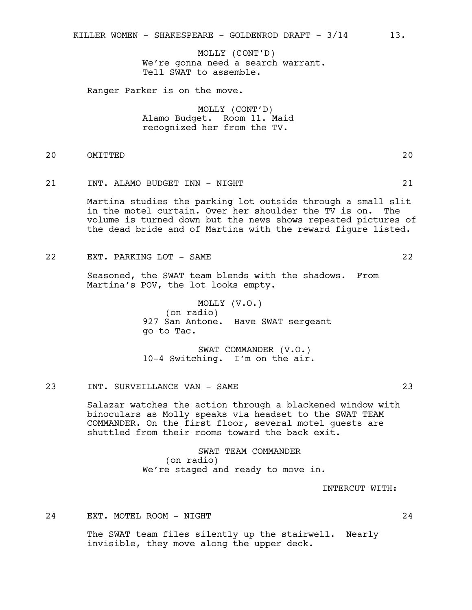We're gonna need a search warrant. Tell SWAT to assemble. MOLLY (CONT'D)

Ranger Parker is on the move.

MOLLY (CONT'D) Alamo Budget. Room 11. Maid recognized her from the TV.

# 20 OMITTED 20

# 21 INT. ALAMO BUDGET INN - NIGHT 21

Martina studies the parking lot outside through a small slit in the motel curtain. Over her shoulder the TV is on. The volume is turned down but the news shows repeated pictures of the dead bride and of Martina with the reward figure listed.

22 EXT. PARKING LOT - SAME 22

Seasoned, the SWAT team blends with the shadows. From Martina's POV, the lot looks empty.

> MOLLY (V.O.) (on radio) 927 San Antone. Have SWAT sergeant go to Tac.

SWAT COMMANDER (V.O.) 10-4 Switching. I'm on the air.

#### 23 INT. SURVEILLANCE VAN - SAME 23

Salazar watches the action through a blackened window with binoculars as Molly speaks via headset to the SWAT TEAM COMMANDER. On the first floor, several motel guests are shuttled from their rooms toward the back exit.

> SWAT TEAM COMMANDER (on radio) We're staged and ready to move in.

> > INTERCUT WITH:

24 EXT. MOTEL ROOM - NIGHT 24

The SWAT team files silently up the stairwell. Nearly invisible, they move along the upper deck.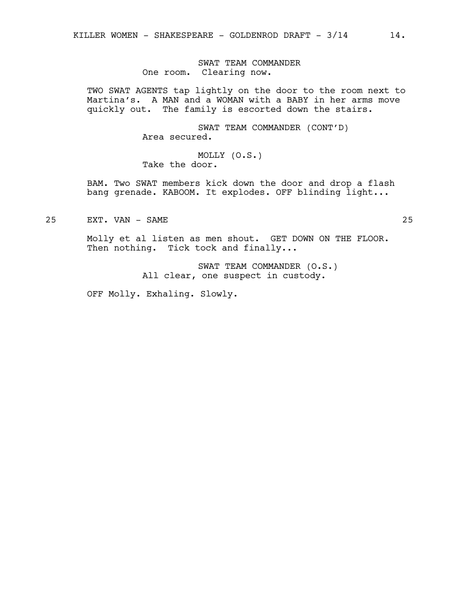SWAT TEAM COMMANDER One room. Clearing now.

TWO SWAT AGENTS tap lightly on the door to the room next to Martina's. A MAN and a WOMAN with a BABY in her arms move quickly out. The family is escorted down the stairs.

> SWAT TEAM COMMANDER (CONT'D) Area secured.

MOLLY (O.S.) Take the door.

BAM. Two SWAT members kick down the door and drop a flash bang grenade. KABOOM. It explodes. OFF blinding light...

25 EXT. VAN - SAME 25

Molly et al listen as men shout. GET DOWN ON THE FLOOR. Then nothing. Tick tock and finally...

> SWAT TEAM COMMANDER (O.S.) All clear, one suspect in custody.

OFF Molly. Exhaling. Slowly.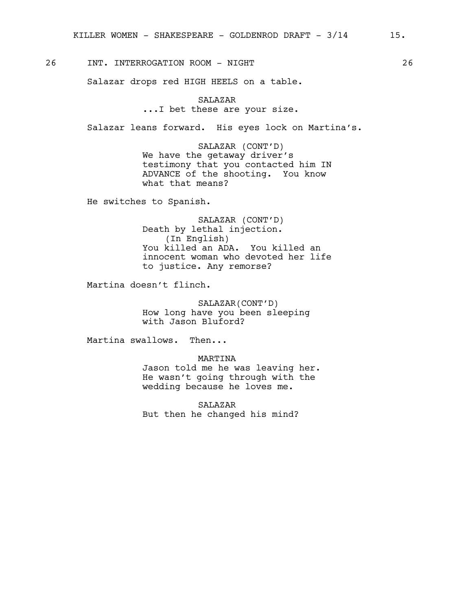26 INT. INTERROGATION ROOM - NIGHT 26

Salazar drops red HIGH HEELS on a table.

# SALAZAR ...I bet these are your size.

Salazar leans forward. His eyes lock on Martina's.

SALAZAR (CONT'D) We have the getaway driver's testimony that you contacted him IN ADVANCE of the shooting. You know what that means?

He switches to Spanish.

SALAZAR (CONT'D) Death by lethal injection. (In English) You killed an ADA. You killed an innocent woman who devoted her life to justice. Any remorse?

Martina doesn't flinch.

SALAZAR(CONT'D) How long have you been sleeping with Jason Bluford?

Martina swallows. Then...

MARTINA

Jason told me he was leaving her. He wasn't going through with the wedding because he loves me.

SALAZAR But then he changed his mind?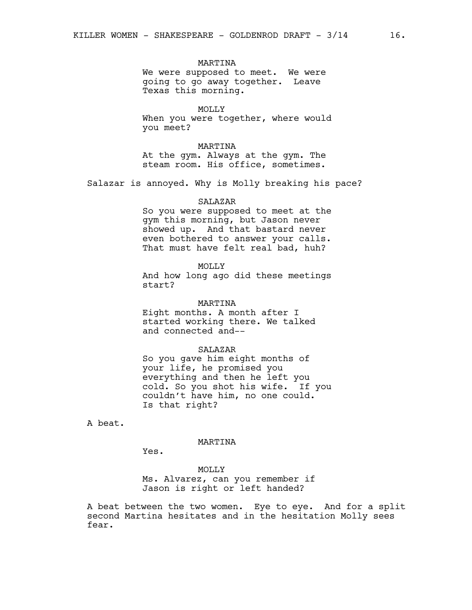#### MARTINA

We were supposed to meet. We were going to go away together. Leave Texas this morning.

MOLLY When you were together, where would you meet?

MARTINA At the gym. Always at the gym. The steam room. His office, sometimes.

Salazar is annoyed. Why is Molly breaking his pace?

#### **SALAZAR**

So you were supposed to meet at the gym this morning, but Jason never showed up. And that bastard never even bothered to answer your calls. That must have felt real bad, huh?

## MOLLY

And how long ago did these meetings start?

#### MARTINA

Eight months. A month after I started working there. We talked and connected and--

#### SALAZAR

So you gave him eight months of your life, he promised you everything and then he left you cold. So you shot his wife. If you couldn't have him, no one could. Is that right?

A beat.

#### MARTINA

Yes.

#### MOLLY

Ms. Alvarez, can you remember if Jason is right or left handed?

A beat between the two women. Eye to eye. And for a split second Martina hesitates and in the hesitation Molly sees fear.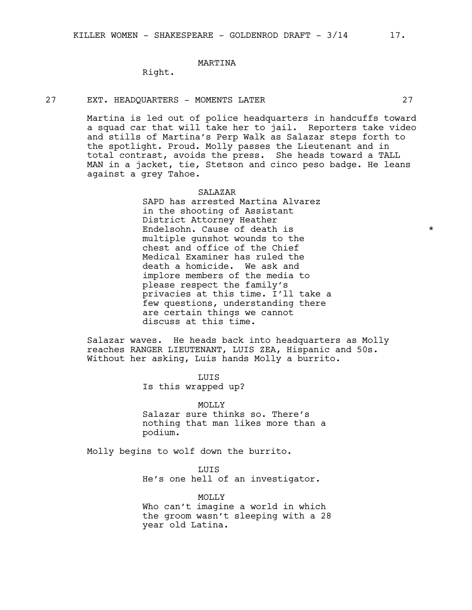# MARTINA

Right.

#### 27 EXT. HEADQUARTERS - MOMENTS LATER 27

Martina is led out of police headquarters in handcuffs toward a squad car that will take her to jail. Reporters take video and stills of Martina's Perp Walk as Salazar steps forth to the spotlight. Proud. Molly passes the Lieutenant and in total contrast, avoids the press. She heads toward a TALL MAN in a jacket, tie, Stetson and cinco peso badge. He leans against a grey Tahoe.

#### SALAZAR

SAPD has arrested Martina Alvarez in the shooting of Assistant District Attorney Heather Endelsohn. Cause of death is  $\star$ multiple gunshot wounds to the chest and office of the Chief Medical Examiner has ruled the death a homicide. We ask and implore members of the media to please respect the family's privacies at this time. I'll take a few questions, understanding there are certain things we cannot discuss at this time.

Salazar waves. He heads back into headquarters as Molly reaches RANGER LIEUTENANT, LUIS ZEA, Hispanic and 50s. Without her asking, Luis hands Molly a burrito.

LUIS

Is this wrapped up?

**MOLLY** 

Salazar sure thinks so. There's nothing that man likes more than a podium.

Molly begins to wolf down the burrito.

year old Latina.

LUIS

He's one hell of an investigator.

MOLLY Who can't imagine a world in which the groom wasn't sleeping with a 28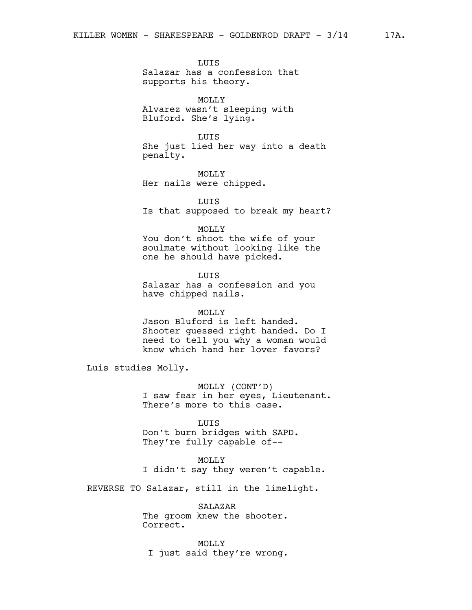LUIS

Salazar has a confession that supports his theory.

**MOLLY** Alvarez wasn't sleeping with Bluford. She's lying.

LUIS

She just lied her way into a death penalty.

MOLLY Her nails were chipped.

LUIS Is that supposed to break my heart?

MOLLY

You don't shoot the wife of your soulmate without looking like the one he should have picked.

LUIS Salazar has a confession and you have chipped nails.

MOLLY

Jason Bluford is left handed. Shooter guessed right handed. Do I need to tell you why a woman would know which hand her lover favors?

Luis studies Molly.

MOLLY (CONT'D) I saw fear in her eyes, Lieutenant. There's more to this case.

**LUTS** Don't burn bridges with SAPD. They're fully capable of--

MOLLY I didn't say they weren't capable.

REVERSE TO Salazar, still in the limelight.

SALAZAR The groom knew the shooter. Correct.

MOLLY I just said they're wrong.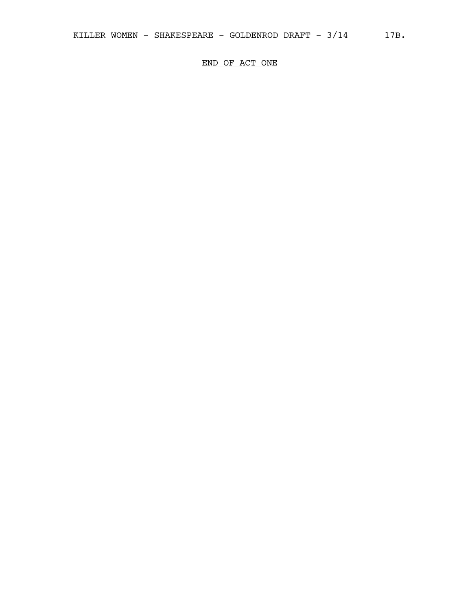END OF ACT ONE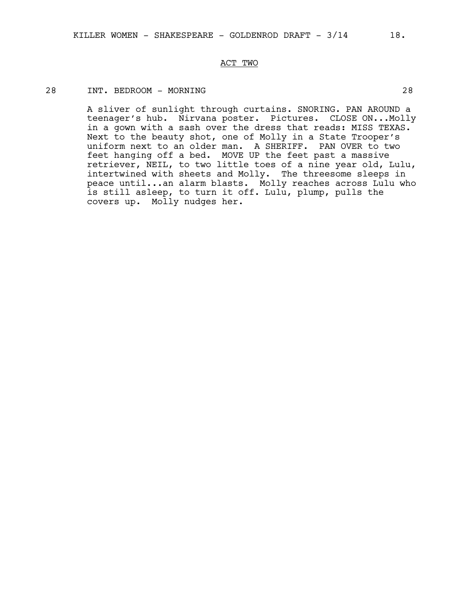# ACT TWO

# 28 INT. BEDROOM - MORNING 28

A sliver of sunlight through curtains. SNORING. PAN AROUND a teenager's hub. Nirvana poster. Pictures. CLOSE ON...Molly in a gown with a sash over the dress that reads: MISS TEXAS. Next to the beauty shot, one of Molly in a State Trooper's uniform next to an older man. A SHERIFF. PAN OVER to two feet hanging off a bed. MOVE UP the feet past a massive retriever, NEIL, to two little toes of a nine year old, Lulu, intertwined with sheets and Molly. The threesome sleeps in peace until...an alarm blasts. Molly reaches across Lulu who is still asleep, to turn it off. Lulu, plump, pulls the covers up. Molly nudges her.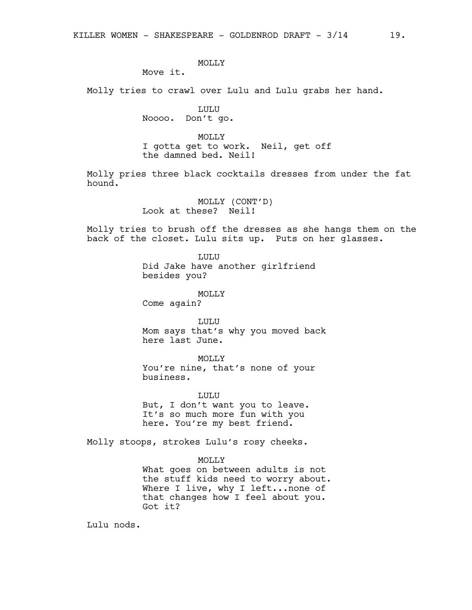# MOLLY

Move it.

Molly tries to crawl over Lulu and Lulu grabs her hand.

LULU Noooo. Don't go.

# MOLLY

I gotta get to work. Neil, get off the damned bed. Neil!

Molly pries three black cocktails dresses from under the fat hound.

> MOLLY (CONT'D) Look at these? Neil!

Molly tries to brush off the dresses as she hangs them on the back of the closet. Lulu sits up. Puts on her glasses.

> LULU Did Jake have another girlfriend besides you?

MOLLY Come again?

LULU Mom says that's why you moved back here last June.

MOLLY You're nine, that's none of your business.

LULU But, I don't want you to leave. It's so much more fun with you here. You're my best friend.

Molly stoops, strokes Lulu's rosy cheeks.

#### MOLLY

What goes on between adults is not the stuff kids need to worry about. Where I live, why I left... none of that changes how I feel about you. Got it?

Lulu nods.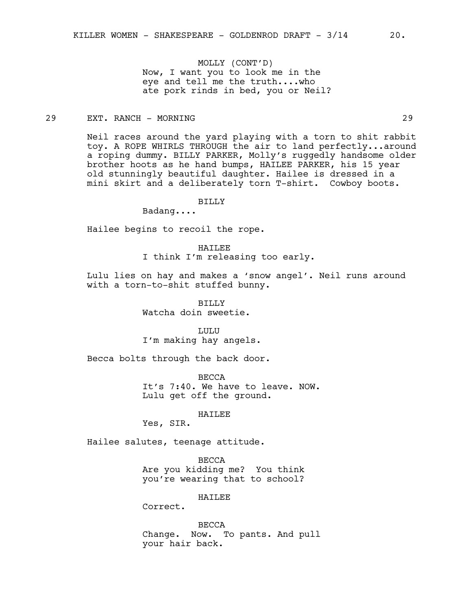MOLLY (CONT'D) Now, I want you to look me in the eye and tell me the truth....who ate pork rinds in bed, you or Neil?

# 29 EXT. RANCH - MORNING 29

Neil races around the yard playing with a torn to shit rabbit toy. A ROPE WHIRLS THROUGH the air to land perfectly...around a roping dummy. BILLY PARKER, Molly's ruggedly handsome older brother hoots as he hand bumps, HAILEE PARKER, his 15 year old stunningly beautiful daughter. Hailee is dressed in a mini skirt and a deliberately torn T-shirt. Cowboy boots.

BILLY

Badang....

Hailee begins to recoil the rope.

**HATLEE** I think I'm releasing too early.

Lulu lies on hay and makes a 'snow angel'. Neil runs around with a torn-to-shit stuffed bunny.

> BILLY Watcha doin sweetie.

LULU I'm making hay angels.

Becca bolts through the back door.

BECCA It's 7:40. We have to leave. NOW. Lulu get off the ground.

HAILEE

Yes, SIR.

Hailee salutes, teenage attitude.

BECCA Are you kidding me? You think you're wearing that to school?

HAILEE

Correct.

BECCA Change. Now. To pants. And pull your hair back.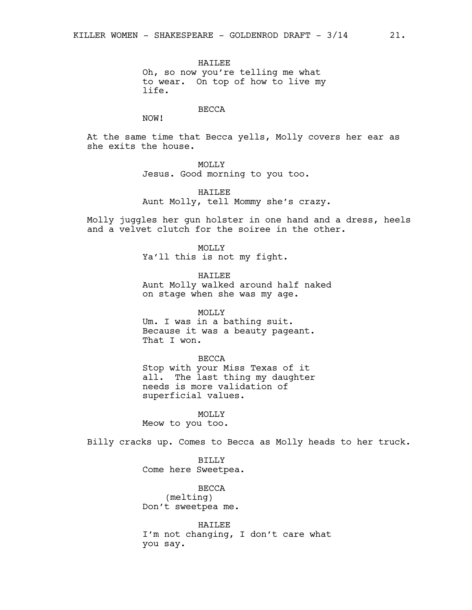HAILEE Oh, so now you're telling me what to wear. On top of how to live my life.

#### BECCA

NOW!

At the same time that Becca yells, Molly covers her ear as she exits the house.

# MOLLY

Jesus. Good morning to you too.

HAILEE

Aunt Molly, tell Mommy she's crazy.

Molly juggles her gun holster in one hand and a dress, heels and a velvet clutch for the soiree in the other.

MOLLY<sub>N</sub>

Ya'll this is not my fight.

HAILEE Aunt Molly walked around half naked on stage when she was my age.

MOLLY

Um. I was in a bathing suit. Because it was a beauty pageant. That I won.

#### BECCA

Stop with your Miss Texas of it all. The last thing my daughter needs is more validation of superficial values.

MOLLY Meow to you too.

Billy cracks up. Comes to Becca as Molly heads to her truck.

BILLY Come here Sweetpea.

BECCA (melting) Don't sweetpea me.

HAILEE I'm not changing, I don't care what you say.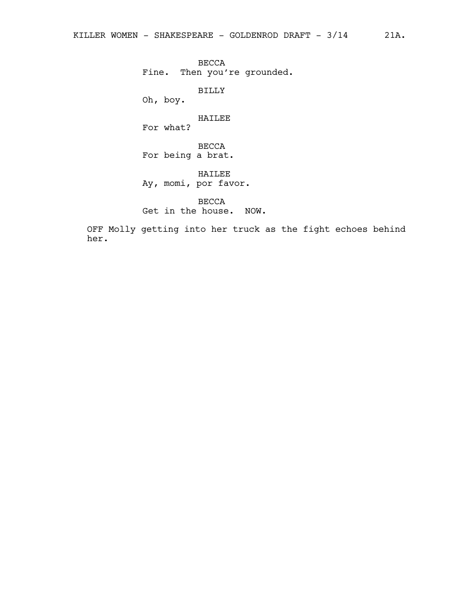BECCA Fine. Then you're grounded.

BILLY

Oh, boy.

# HAILEE

For what?

BECCA For being a brat.

HAILEE Ay, momi, por favor.

BECCA Get in the house. NOW.

OFF Molly getting into her truck as the fight echoes behind her.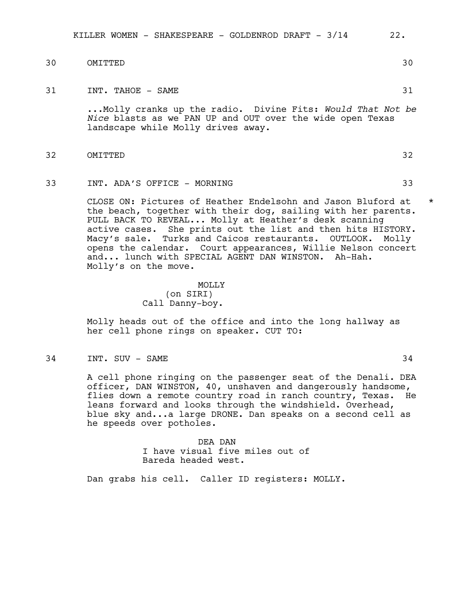KILLER WOMEN - SHAKESPEARE - GOLDENROD DRAFT -  $3/14$  22.

- 30 OMITTED 30
- 31 INT. TAHOE SAME

...Molly cranks up the radio. Divine Fits: *Would That Not be Nice* blasts as we PAN UP and OUT over the wide open Texas landscape while Molly drives away.

- 32 OMITTED 32
- 33 INT. ADA'S OFFICE MORNING 33

CLOSE ON: Pictures of Heather Endelsohn and Jason Bluford at \* the beach, together with their dog, sailing with her parents. PULL BACK TO REVEAL... Molly at Heather's desk scanning active cases. She prints out the list and then hits HISTORY. Macy's sale. Turks and Caicos restaurants. OUTLOOK. Molly opens the calendar. Court appearances, Willie Nelson concert and... lunch with SPECIAL AGENT DAN WINSTON. Ah-Hah. Molly's on the move.

> MOLLY (on SIRI) Call Danny-boy.

Molly heads out of the office and into the long hallway as her cell phone rings on speaker. CUT TO:

34 INT. SUV – SAME 34

A cell phone ringing on the passenger seat of the Denali. DEA officer, DAN WINSTON, 40, unshaven and dangerously handsome, flies down a remote country road in ranch country, Texas. He leans forward and looks through the windshield. Overhead, blue sky and...a large DRONE. Dan speaks on a second cell as he speeds over potholes.

> DEA DAN I have visual five miles out of Bareda headed west.

Dan grabs his cell. Caller ID registers: MOLLY.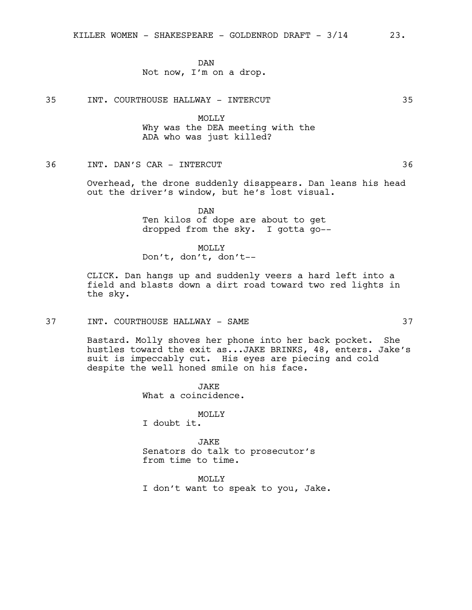DAN Not now, I'm on a drop.

35 INT. COURTHOUSE HALLWAY - INTERCUT 35

MOLLY Why was the DEA meeting with the ADA who was just killed?

# 36 INT. DAN'S CAR - INTERCUT 36

Overhead, the drone suddenly disappears. Dan leans his head out the driver's window, but he's lost visual.

> DAN Ten kilos of dope are about to get dropped from the sky. I gotta go--

MOLLY Don't, don't, don't--

CLICK. Dan hangs up and suddenly veers a hard left into a field and blasts down a dirt road toward two red lights in the sky.

# 37 INT. COURTHOUSE HALLWAY - SAME 37

Bastard. Molly shoves her phone into her back pocket. She hustles toward the exit as...JAKE BRINKS, 48, enters. Jake's suit is impeccably cut. His eyes are piecing and cold despite the well honed smile on his face.

> JAKE What a coincidence.

MOLLY I doubt it.

JAKE Senators do talk to prosecutor's from time to time.

MOLLY I don't want to speak to you, Jake.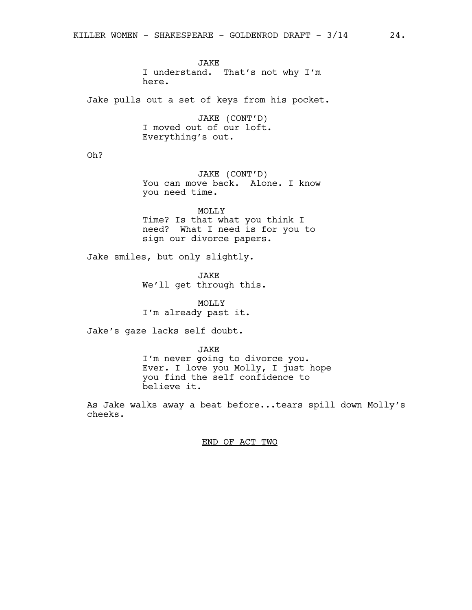JAKE I understand. That's not why I'm here.

Jake pulls out a set of keys from his pocket.

JAKE (CONT'D) I moved out of our loft. Everything's out.

Oh?

JAKE (CONT'D) You can move back. Alone. I know you need time.

MOLLY Time? Is that what you think I need? What I need is for you to sign our divorce papers.

Jake smiles, but only slightly.

JAKE We'll get through this.

MOLLY I'm already past it.

Jake's gaze lacks self doubt.

JAKE I'm never going to divorce you. Ever. I love you Molly, I just hope

you find the self confidence to believe it.

As Jake walks away a beat before...tears spill down Molly's cheeks.

END OF ACT TWO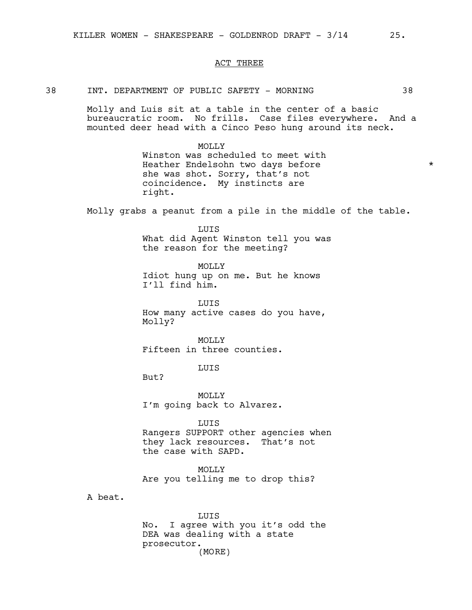#### ACT THREE

#### 38 INT. DEPARTMENT OF PUBLIC SAFETY - MORNING 38

Molly and Luis sit at a table in the center of a basic bureaucratic room. No frills. Case files everywhere. And a mounted deer head with a Cinco Peso hung around its neck.

> MOLLY Winston was scheduled to meet with Heather Endelsohn two days before \*\*\* she was shot. Sorry, that's not coincidence. My instincts are right.

Molly grabs a peanut from a pile in the middle of the table.

LUIS What did Agent Winston tell you was the reason for the meeting?

MOLLY

Idiot hung up on me. But he knows I'll find him.

LUIS How many active cases do you have, Molly?

MOLLY Fifteen in three counties.

LUIS

But?

MOLLY I'm going back to Alvarez.

LUIS

Rangers SUPPORT other agencies when they lack resources. That's not the case with SAPD.

MOLLY Are you telling me to drop this?

A beat.

LUIS No. I agree with you it's odd the DEA was dealing with a state prosecutor. (MORE)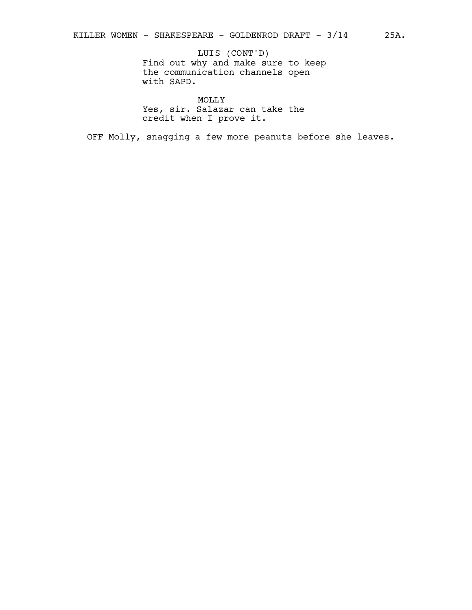# LUIS (CONT'D)

Find out why and make sure to keep the communication channels open with SAPD.

MOLLY

Yes, sir. Salazar can take the credit when I prove it.

OFF Molly, snagging a few more peanuts before she leaves.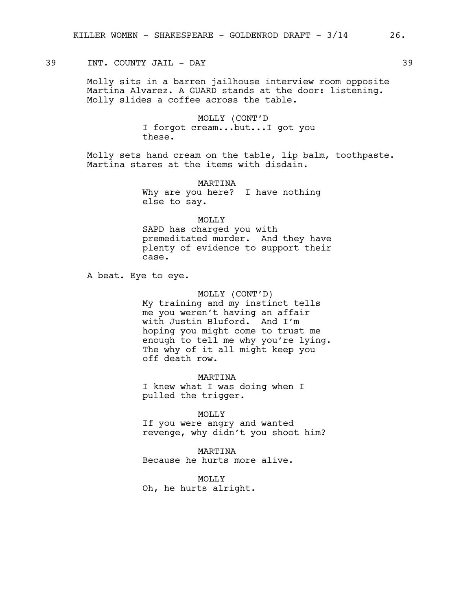# 39 INT. COUNTY JAIL - DAY 39

Molly sits in a barren jailhouse interview room opposite Martina Alvarez. A GUARD stands at the door: listening. Molly slides a coffee across the table.

> MOLLY (CONT'D I forgot cream...but...I got you these.

Molly sets hand cream on the table, lip balm, toothpaste. Martina stares at the items with disdain.

> MARTINA Why are you here? I have nothing else to say.

MOLLY SAPD has charged you with premeditated murder. And they have plenty of evidence to support their case.

A beat. Eye to eye.

#### MOLLY (CONT'D)

My training and my instinct tells me you weren't having an affair with Justin Bluford. And I'm hoping you might come to trust me enough to tell me why you're lying. The why of it all might keep you off death row.

MARTINA I knew what I was doing when I pulled the trigger.

MOLLY

If you were angry and wanted revenge, why didn't you shoot him?

MARTINA Because he hurts more alive.

MOLLY

Oh, he hurts alright.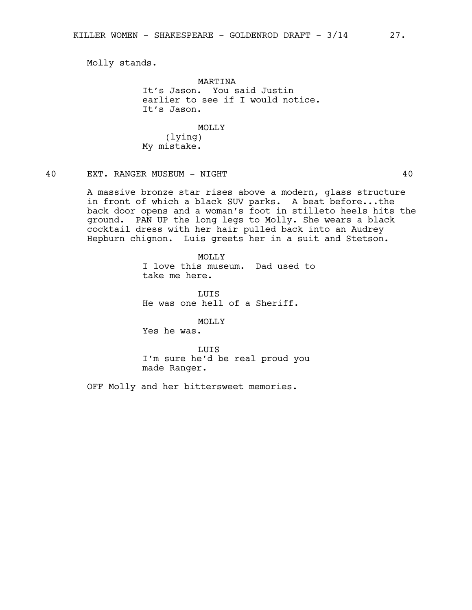Molly stands.

MARTINA It's Jason. You said Justin earlier to see if I would notice. It's Jason.

MOLLY (lying) My mistake.

# 40 EXT. RANGER MUSEUM - NIGHT 40

A massive bronze star rises above a modern, glass structure in front of which a black SUV parks. A beat before...the back door opens and a woman's foot in stilleto heels hits the ground. PAN UP the long legs to Molly. She wears a black cocktail dress with her hair pulled back into an Audrey Hepburn chignon. Luis greets her in a suit and Stetson.

> MOLLY I love this museum. Dad used to take me here.

LUIS He was one hell of a Sheriff.

MOLLY

Yes he was.

LUIS I'm sure he'd be real proud you made Ranger.

OFF Molly and her bittersweet memories.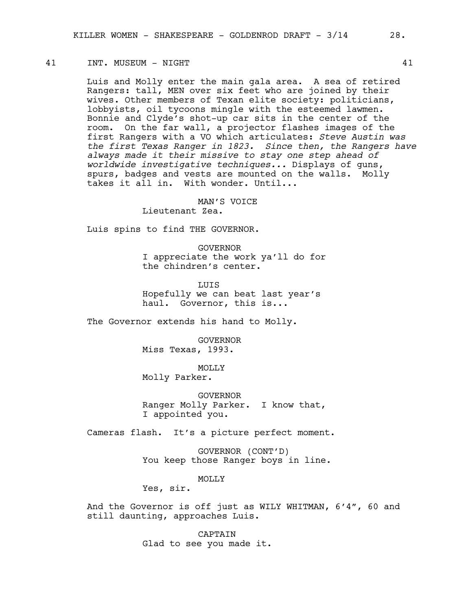#### 41 INT. MUSEUM - NIGHT 41

Luis and Molly enter the main gala area. A sea of retired Rangers: tall, MEN over six feet who are joined by their wives. Other members of Texan elite society: politicians, lobbyists, oil tycoons mingle with the esteemed lawmen. Bonnie and Clyde's shot-up car sits in the center of the room. On the far wall, a projector flashes images of the first Rangers with a VO which articulates: *Steve Austin was the first Texas Ranger in 1823. Since then, the Rangers have always made it their missive to stay one step ahead of worldwide investigative techniques...* Displays of guns, spurs, badges and vests are mounted on the walls. Molly takes it all in. With wonder. Until...

MAN'S VOICE

Lieutenant Zea.

Luis spins to find THE GOVERNOR.

GOVERNOR I appreciate the work ya'll do for the chindren's center.

LUIS Hopefully we can beat last year's haul. Governor, this is...

The Governor extends his hand to Molly.

GOVERNOR Miss Texas, 1993.

MOLLY

Molly Parker.

GOVERNOR Ranger Molly Parker. I know that, I appointed you.

Cameras flash. It's a picture perfect moment.

GOVERNOR (CONT'D) You keep those Ranger boys in line.

MOLLY

Yes, sir.

And the Governor is off just as WILY WHITMAN, 6'4", 60 and still daunting, approaches Luis.

> CAPTAIN Glad to see you made it.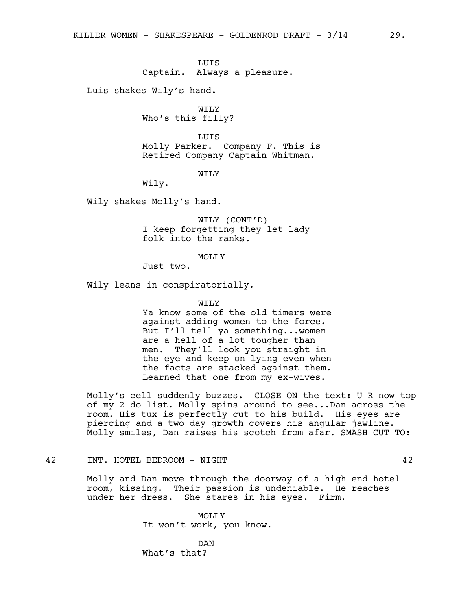LUIS Captain. Always a pleasure.

Luis shakes Wily's hand.

WILY Who's this filly?

LUIS Molly Parker. Company F. This is Retired Company Captain Whitman.

WILY

Wily.

Wily shakes Molly's hand.

WILY (CONT'D) I keep forgetting they let lady folk into the ranks.

#### MOLLY

Just two.

Wily leans in conspiratorially.

WTT<sub>N</sub>

Ya know some of the old timers were against adding women to the force. But I'll tell ya something...women are a hell of a lot tougher than men. They'll look you straight in the eye and keep on lying even when the facts are stacked against them. Learned that one from my ex-wives.

Molly's cell suddenly buzzes. CLOSE ON the text: U R now top of my 2 do list. Molly spins around to see...Dan across the room. His tux is perfectly cut to his build. His eyes are piercing and a two day growth covers his angular jawline. Molly smiles, Dan raises his scotch from afar. SMASH CUT TO:

#### 42 INT. HOTEL BEDROOM - NIGHT 42

Molly and Dan move through the doorway of a high end hotel room, kissing. Their passion is undeniable. He reaches under her dress. She stares in his eyes. Firm.

> MOLLY It won't work, you know.

DAN What's that?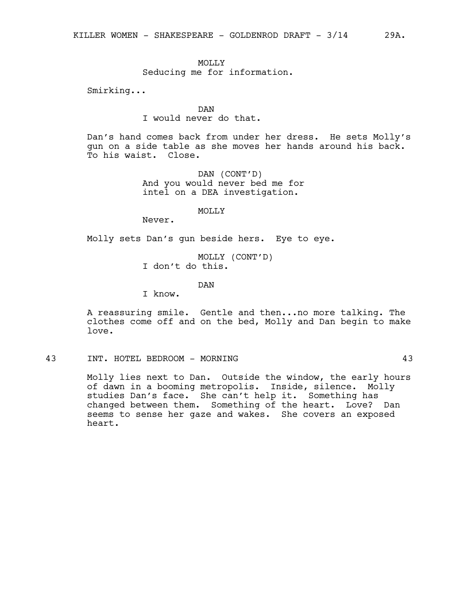### MOLLY

Seducing me for information.

Smirking...

# DAN

I would never do that.

Dan's hand comes back from under her dress. He sets Molly's gun on a side table as she moves her hands around his back. To his waist. Close.

> DAN (CONT'D) And you would never bed me for intel on a DEA investigation.

#### MOLLY

Never.

Molly sets Dan's gun beside hers. Eye to eye.

MOLLY (CONT'D) I don't do this.

# DAN

I know.

A reassuring smile. Gentle and then...no more talking. The clothes come off and on the bed, Molly and Dan begin to make love.

#### 43 INT. HOTEL BEDROOM - MORNING 43

Molly lies next to Dan. Outside the window, the early hours of dawn in a booming metropolis. Inside, silence. Molly studies Dan's face. She can't help it. Something has changed between them. Something of the heart. Love? Dan seems to sense her gaze and wakes. She covers an exposed heart.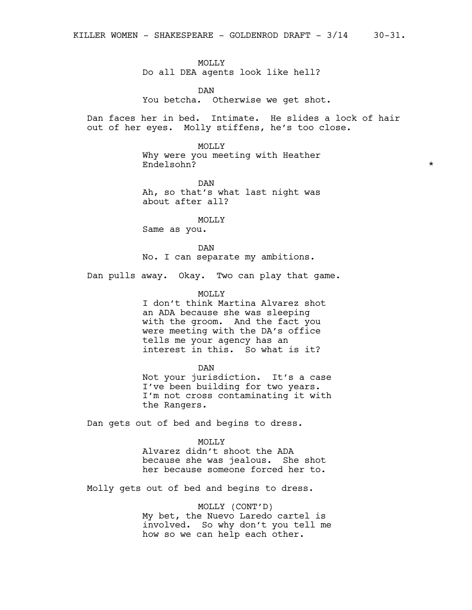MOLLY Do all DEA agents look like hell?

DAN You betcha. Otherwise we get shot.

Dan faces her in bed. Intimate. He slides a lock of hair out of her eyes. Molly stiffens, he's too close.

> MOLLY Why were you meeting with Heather Endelsohn? \*

DAN Ah, so that's what last night was about after all?

**MOLLY** 

Same as you.

DAN No. I can separate my ambitions.

Dan pulls away. Okay. Two can play that game.

MOLLY

I don't think Martina Alvarez shot an ADA because she was sleeping with the groom. And the fact you were meeting with the DA's office tells me your agency has an interest in this. So what is it?

DAN

Not your jurisdiction. It's a case I've been building for two years. I'm not cross contaminating it with the Rangers.

Dan gets out of bed and begins to dress.

MOLLY

Alvarez didn't shoot the ADA because she was jealous. She shot her because someone forced her to.

Molly gets out of bed and begins to dress.

MOLLY (CONT'D)

My bet, the Nuevo Laredo cartel is involved. So why don't you tell me how so we can help each other.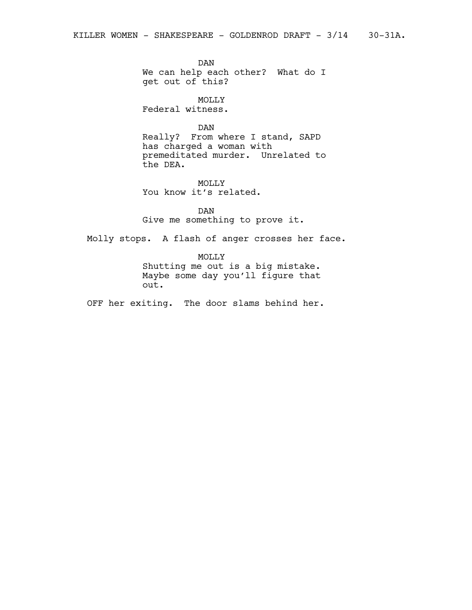DAN We can help each other? What do I get out of this?

MOLLY Federal witness.

DAN

Really? From where I stand, SAPD has charged a woman with premeditated murder. Unrelated to the DEA.

MOLLY You know it's related.

DAN Give me something to prove it.

Molly stops. A flash of anger crosses her face.

MOLLY Shutting me out is a big mistake. Maybe some day you'll figure that out.

OFF her exiting. The door slams behind her.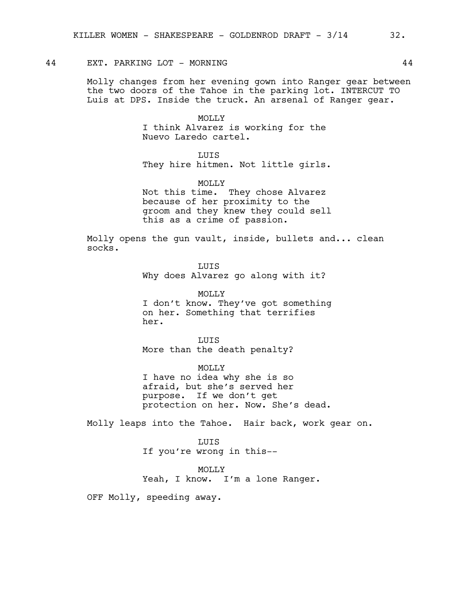## 44 EXT. PARKING LOT - MORNING 44

Molly changes from her evening gown into Ranger gear between the two doors of the Tahoe in the parking lot. INTERCUT TO Luis at DPS. Inside the truck. An arsenal of Ranger gear.

> MOLLY I think Alvarez is working for the Nuevo Laredo cartel.

**LUTS** They hire hitmen. Not little girls.

MOLLY Not this time. They chose Alvarez because of her proximity to the groom and they knew they could sell this as a crime of passion.

Molly opens the gun vault, inside, bullets and... clean socks.

> LUIS Why does Alvarez go along with it?

MOLLY I don't know. They've got something on her. Something that terrifies her.

LUIS More than the death penalty?

MOLLY I have no idea why she is so afraid, but she's served her purpose. If we don't get protection on her. Now. She's dead.

Molly leaps into the Tahoe. Hair back, work gear on.

LUIS If you're wrong in this--

MOLLY

Yeah, I know. I'm a lone Ranger.

OFF Molly, speeding away.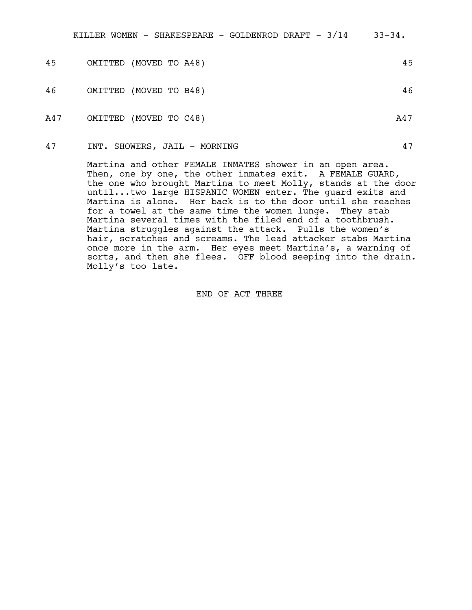| 45  | OMITTED (MOVED TO A48) |  |  |     | 45 |
|-----|------------------------|--|--|-----|----|
| 46  | OMITTED (MOVED TO B48) |  |  |     | 46 |
| A47 | OMITTED (MOVED TO C48) |  |  | A47 |    |

47 INT. SHOWERS, JAIL - MORNING 47

Martina and other FEMALE INMATES shower in an open area. Then, one by one, the other inmates exit. A FEMALE GUARD, the one who brought Martina to meet Molly, stands at the door until...two large HISPANIC WOMEN enter. The guard exits and Martina is alone. Her back is to the door until she reaches for a towel at the same time the women lunge. They stab Martina several times with the filed end of a toothbrush. Martina struggles against the attack. Pulls the women's hair, scratches and screams. The lead attacker stabs Martina once more in the arm. Her eyes meet Martina's, a warning of sorts, and then she flees. OFF blood seeping into the drain. Molly's too late.

#### END OF ACT THREE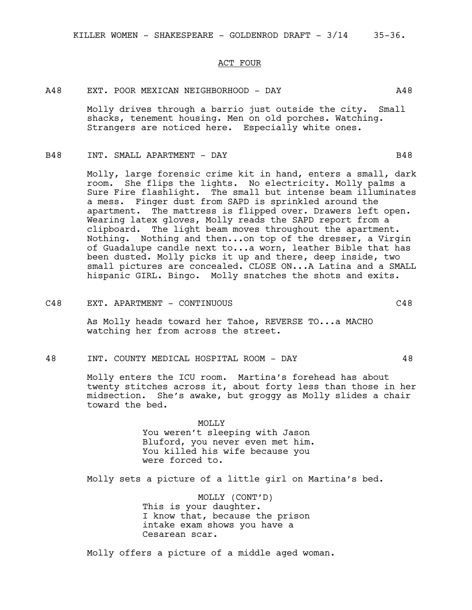#### ACT FOUR

# A48 EXT. POOR MEXICAN NEIGHBORHOOD - DAY A48

Molly drives through a barrio just outside the city. Small shacks, tenement housing. Men on old porches. Watching. Strangers are noticed here. Especially white ones.

#### B48 INT. SMALL APARTMENT - DAY B48

Molly, large forensic crime kit in hand, enters a small, dark room. She flips the lights. No electricity. Molly palms a Sure Fire flashlight. The small but intense beam illuminates a mess. Finger dust from SAPD is sprinkled around the apartment. The mattress is flipped over. Drawers left open. Wearing latex gloves, Molly reads the SAPD report from a clipboard. The light beam moves throughout the apartment. Nothing. Nothing and then...on top of the dresser, a Virgin of Guadalupe candle next to...a worn, leather Bible that has been dusted. Molly picks it up and there, deep inside, two small pictures are concealed. CLOSE ON...A Latina and a SMALL hispanic GIRL. Bingo. Molly snatches the shots and exits.

C48 EXT. APARTMENT - CONTINUOUS C48

As Molly heads toward her Tahoe, REVERSE TO...a MACHO watching her from across the street.

48 INT. COUNTY MEDICAL HOSPITAL ROOM - DAY 48

Molly enters the ICU room. Martina's forehead has about twenty stitches across it, about forty less than those in her midsection. She's awake, but groggy as Molly slides a chair toward the bed.

> MOLLY You weren't sleeping with Jason Bluford, you never even met him. You killed his wife because you were forced to.

Molly sets a picture of a little girl on Martina's bed.

MOLLY (CONT'D) This is your daughter. I know that, because the prison intake exam shows you have a Cesarean scar.

Molly offers a picture of a middle aged woman.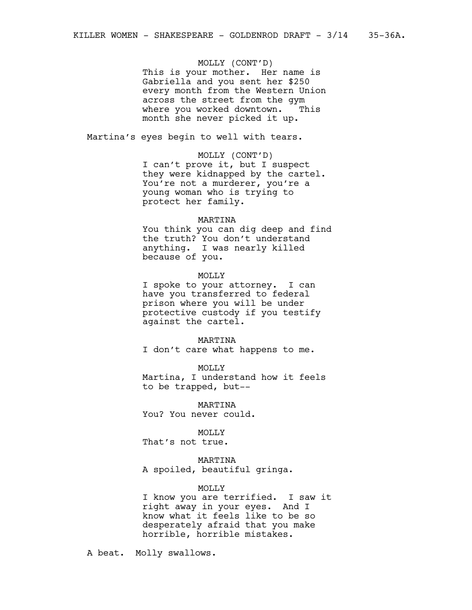# MOLLY (CONT'D)

This is your mother. Her name is Gabriella and you sent her \$250 every month from the Western Union across the street from the gym where you worked downtown. This month she never picked it up.

Martina's eyes begin to well with tears.

#### MOLLY (CONT'D)

I can't prove it, but I suspect they were kidnapped by the cartel. You're not a murderer, you're a young woman who is trying to protect her family.

#### MARTINA

You think you can dig deep and find the truth? You don't understand anything. I was nearly killed because of you.

#### MOLLY

I spoke to your attorney. I can have you transferred to federal prison where you will be under protective custody if you testify against the cartel.

#### MARTINA

I don't care what happens to me.

#### MOLLY

Martina, I understand how it feels to be trapped, but--

MARTINA You? You never could.

MOLLY That's not true.

MARTINA A spoiled, beautiful gringa.

#### MOLLY

I know you are terrified. I saw it right away in your eyes. And I know what it feels like to be so desperately afraid that you make horrible, horrible mistakes.

A beat. Molly swallows.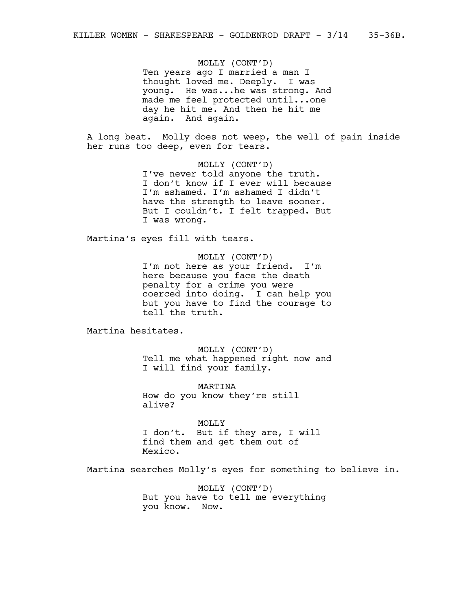MOLLY (CONT'D)

Ten years ago I married a man I thought loved me. Deeply. I was young. He was...he was strong. And made me feel protected until...one day he hit me. And then he hit me again. And again.

A long beat. Molly does not weep, the well of pain inside her runs too deep, even for tears.

> MOLLY (CONT'D) I've never told anyone the truth. I don't know if I ever will because I'm ashamed. I'm ashamed I didn't have the strength to leave sooner. But I couldn't. I felt trapped. But I was wrong.

Martina's eyes fill with tears.

MOLLY (CONT'D) I'm not here as your friend. I'm here because you face the death penalty for a crime you were coerced into doing. I can help you but you have to find the courage to tell the truth.

Martina hesitates.

MOLLY (CONT'D) Tell me what happened right now and I will find your family.

MARTINA How do you know they're still alive?

MOLLY I don't. But if they are, I will find them and get them out of Mexico.

Martina searches Molly's eyes for something to believe in.

MOLLY (CONT'D) But you have to tell me everything you know. Now.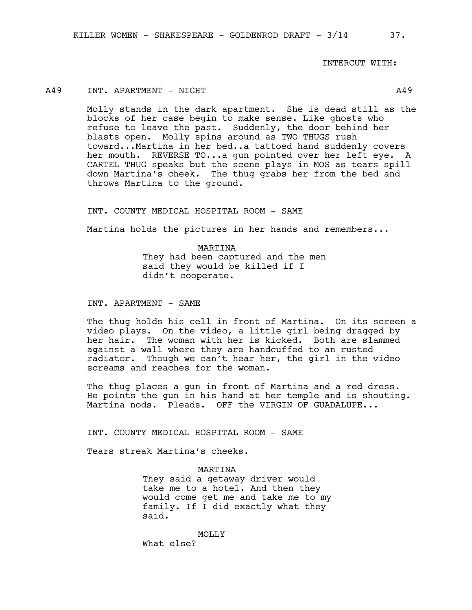INTERCUT WITH:

# A49 INT. APARTMENT - NIGHT A49

Molly stands in the dark apartment. She is dead still as the blocks of her case begin to make sense. Like ghosts who refuse to leave the past. Suddenly, the door behind her blasts open. Molly spins around as TWO THUGS rush toward...Martina in her bed..a tattoed hand suddenly covers her mouth. REVERSE TO...a gun pointed over her left eye. A CARTEL THUG speaks but the scene plays in MOS as tears spill down Martina's cheek. The thug grabs her from the bed and throws Martina to the ground.

INT. COUNTY MEDICAL HOSPITAL ROOM - SAME

Martina holds the pictures in her hands and remembers...

MARTINA They had been captured and the men said they would be killed if I didn't cooperate.

INT. APARTMENT - SAME

The thug holds his cell in front of Martina. On its screen a video plays. On the video, a little girl being dragged by her hair. The woman with her is kicked. Both are slammed against a wall where they are handcuffed to an rusted radiator. Though we can't hear her, the girl in the video screams and reaches for the woman.

The thug places a gun in front of Martina and a red dress. He points the gun in his hand at her temple and is shouting. Martina nods. Pleads. OFF the VIRGIN OF GUADALUPE...

INT. COUNTY MEDICAL HOSPITAL ROOM - SAME

Tears streak Martina's cheeks.

#### MARTINA

They said a getaway driver would take me to a hotel. And then they would come get me and take me to my family. If I did exactly what they said.

MOLLY What else?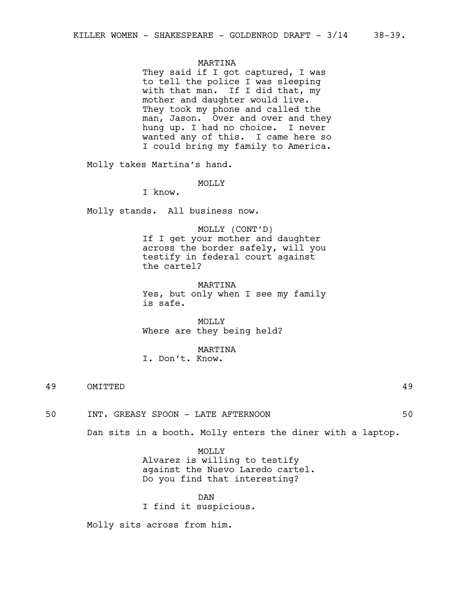#### MARTINA

They said if I got captured, I was to tell the police I was sleeping with that man. If I did that, my mother and daughter would live. They took my phone and called the man, Jason. Over and over and they hung up. I had no choice. I never wanted any of this. I came here so I could bring my family to America.

Molly takes Martina's hand.

#### MOLLY

I know.

Molly stands. All business now.

MOLLY (CONT'D) If I get your mother and daughter across the border safely, will you testify in federal court against the cartel?

MARTINA Yes, but only when I see my family is safe.

MOLLY Where are they being held?

#### MARTINA

I. Don't. Know.

49 OMITTED 49

50 INT. GREASY SPOON - LATE AFTERNOON 50

Dan sits in a booth. Molly enters the diner with a laptop.

MOLLY Alvarez is willing to testify against the Nuevo Laredo cartel. Do you find that interesting?

DAN I find it suspicious.

Molly sits across from him.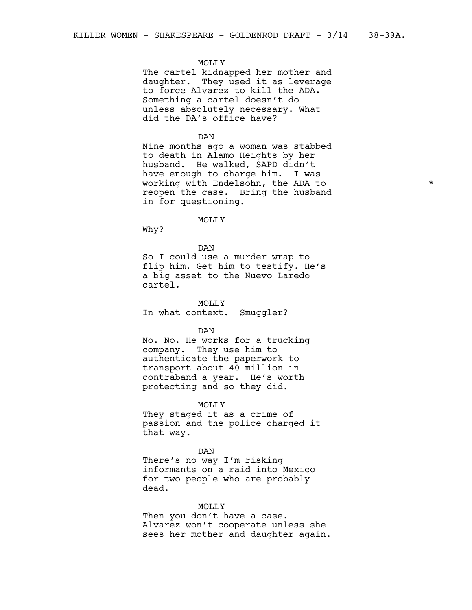#### MOLLY

The cartel kidnapped her mother and daughter. They used it as leverage to force Alvarez to kill the ADA. Something a cartel doesn't do unless absolutely necessary. What did the DA's office have?

#### DAN

Nine months ago a woman was stabbed to death in Alamo Heights by her husband. He walked, SAPD didn't have enough to charge him. I was working with Endelsohn, the ADA to \* reopen the case. Bring the husband in for questioning.

#### MOLLY

Why?

DAN

So I could use a murder wrap to flip him. Get him to testify. He's a big asset to the Nuevo Laredo cartel.

**MOLLY** In what context. Smuggler?

#### DAN

No. No. He works for a trucking company. They use him to authenticate the paperwork to transport about 40 million in contraband a year. He's worth protecting and so they did.

#### MOLLY

They staged it as a crime of passion and the police charged it that way.

#### DAN

There's no way I'm risking informants on a raid into Mexico for two people who are probably dead.

#### MOLLY

Then you don't have a case. Alvarez won't cooperate unless she sees her mother and daughter again.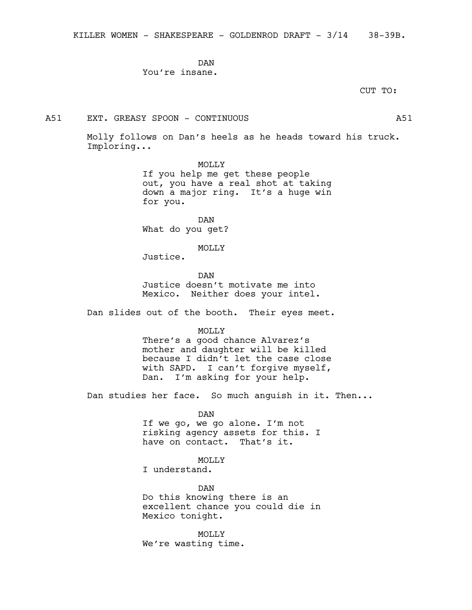DAN You're insane.

CUT TO:

# A51 EXT. GREASY SPOON - CONTINUOUS A51

Molly follows on Dan's heels as he heads toward his truck. Imploring...

MOLLY

If you help me get these people out, you have a real shot at taking down a major ring. It's a huge win for you.

DAN What do you get?

MOLLY

Justice.

DAN Justice doesn't motivate me into Mexico. Neither does your intel.

Dan slides out of the booth. Their eyes meet.

MOLLY

There's a good chance Alvarez's mother and daughter will be killed because I didn't let the case close with SAPD. I can't forgive myself, Dan. I'm asking for your help.

Dan studies her face. So much anguish in it. Then...

DAN If we go, we go alone. I'm not risking agency assets for this. I have on contact. That's it.

MOLLY I understand.

DAN Do this knowing there is an excellent chance you could die in Mexico tonight.

MOLLY We're wasting time.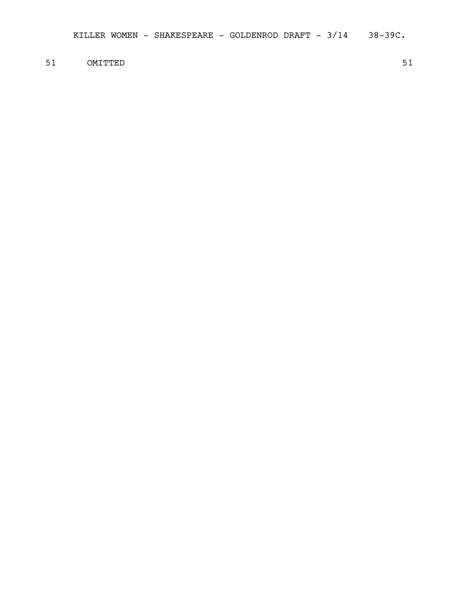51 OMITTED 51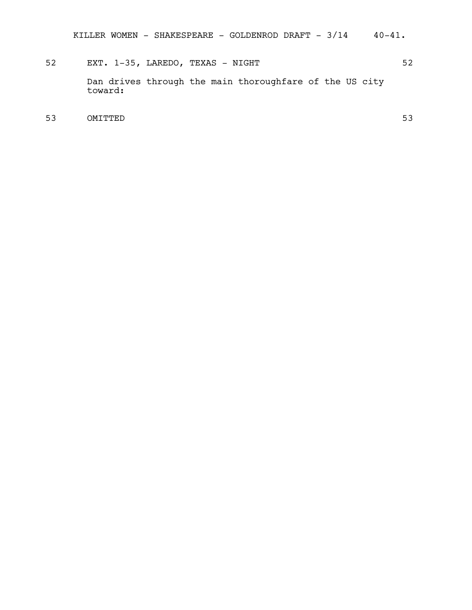# 52 EXT. 1-35, LAREDO, TEXAS - NIGHT 52 Dan drives through the main thoroughfare of the US city toward:

53 OMITTED 53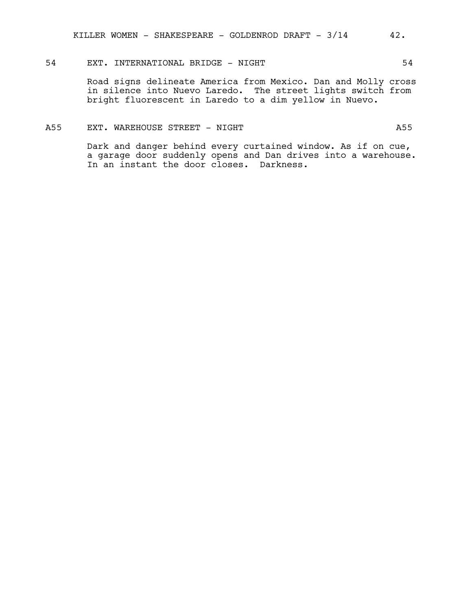# 54 EXT. INTERNATIONAL BRIDGE - NIGHT 54

Road signs delineate America from Mexico. Dan and Molly cross in silence into Nuevo Laredo. The street lights switch from bright fluorescent in Laredo to a dim yellow in Nuevo.

# A55 EXT. WAREHOUSE STREET - NIGHT

Dark and danger behind every curtained window. As if on cue, a garage door suddenly opens and Dan drives into a warehouse. In an instant the door closes. Darkness.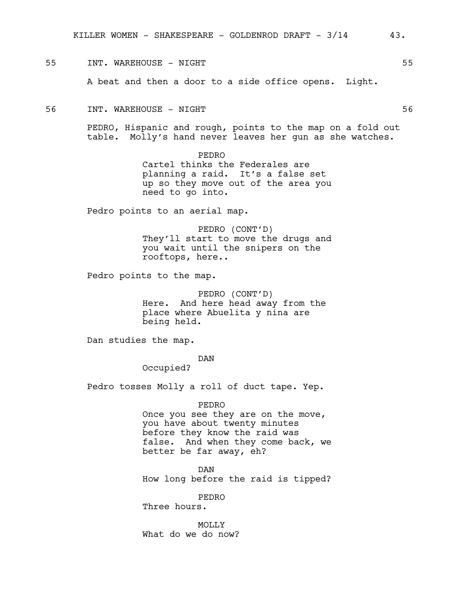#### 55 INT. WAREHOUSE - NIGHT 55

A beat and then a door to a side office opens. Light.

#### 56 INT. WAREHOUSE - NIGHT 56

PEDRO, Hispanic and rough, points to the map on a fold out table. Molly's hand never leaves her gun as she watches.

> PEDRO Cartel thinks the Federales are planning a raid. It's a false set up so they move out of the area you need to go into.

Pedro points to an aerial map.

PEDRO (CONT'D) They'll start to move the drugs and you wait until the snipers on the rooftops, here..

Pedro points to the map.

PEDRO (CONT'D) Here. And here head away from the place where Abuelita y nina are being held.

Dan studies the map.

DAN

Occupied?

Pedro tosses Molly a roll of duct tape. Yep.

PEDRO

Once you see they are on the move, you have about twenty minutes before they know the raid was false. And when they come back, we better be far away, eh?

DAN How long before the raid is tipped?

PEDRO Three hours.

MOLLY What do we do now?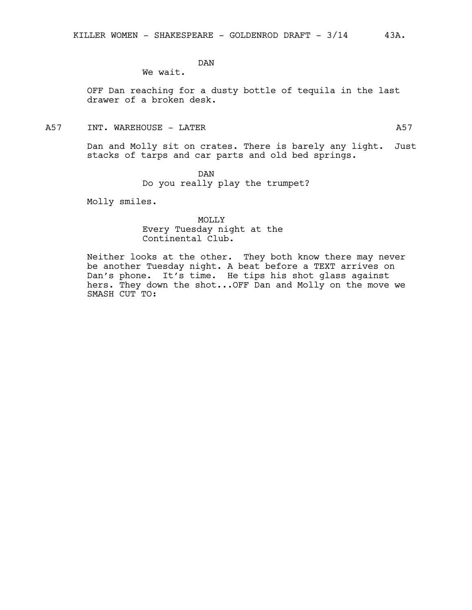DAN

We wait.

OFF Dan reaching for a dusty bottle of tequila in the last drawer of a broken desk.

# A57 INT. WAREHOUSE – LATER And the state of the state of the state of the state of the state of the state of the state of the state of the state of the state of the state of the state of the state of the state of the state

Dan and Molly sit on crates. There is barely any light. Just stacks of tarps and car parts and old bed springs.

DAN

Do you really play the trumpet?

Molly smiles.

MOLLY Every Tuesday night at the Continental Club.

Neither looks at the other. They both know there may never be another Tuesday night. A beat before a TEXT arrives on Dan's phone. It's time. He tips his shot glass against hers. They down the shot...OFF Dan and Molly on the move we SMASH CUT TO: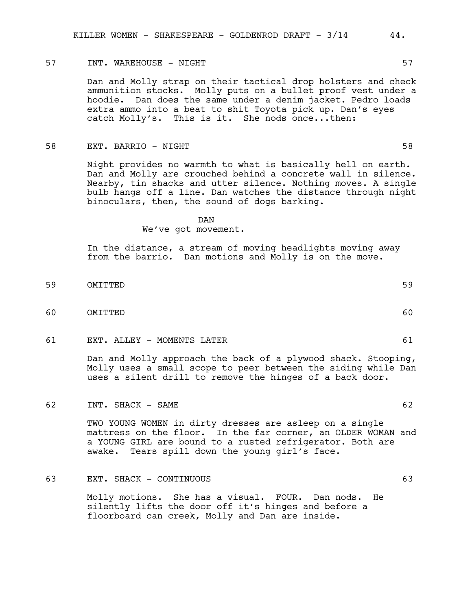#### 57 INT. WAREHOUSE – NIGHT 1988 SOME 1999 ST

Dan and Molly strap on their tactical drop holsters and check ammunition stocks. Molly puts on a bullet proof vest under a hoodie. Dan does the same under a denim jacket. Pedro loads extra ammo into a beat to shit Toyota pick up. Dan's eyes catch Molly's. This is it. She nods once...then:

#### 58 EXT. BARRIO - NIGHT 58

Night provides no warmth to what is basically hell on earth. Dan and Molly are crouched behind a concrete wall in silence. Nearby, tin shacks and utter silence. Nothing moves. A single bulb hangs off a line. Dan watches the distance through night binoculars, then, the sound of dogs barking.

# DAN

#### We've got movement.

In the distance, a stream of moving headlights moving away from the barrio. Dan motions and Molly is on the move.

- 59 OMITTED 59
- 60 OMITTED 60
- 61 EXT. ALLEY MOMENTS LATER 61

Dan and Molly approach the back of a plywood shack. Stooping, Molly uses a small scope to peer between the siding while Dan uses a silent drill to remove the hinges of a back door.

62 INT. SHACK – SAME

TWO YOUNG WOMEN in dirty dresses are asleep on a single mattress on the floor. In the far corner, an OLDER WOMAN and a YOUNG GIRL are bound to a rusted refrigerator. Both are awake. Tears spill down the young girl's face.

# 63 EXT. SHACK - CONTINUOUS 63

Molly motions. She has a visual. FOUR. Dan nods. He silently lifts the door off it's hinges and before a floorboard can creek, Molly and Dan are inside.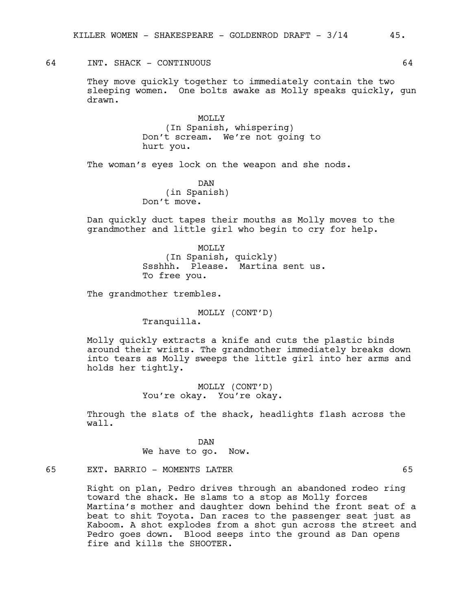# 64 INT. SHACK - CONTINUOUS 64

They move quickly together to immediately contain the two sleeping women. One bolts awake as Molly speaks quickly, gun drawn.

> MOLLY (In Spanish, whispering) Don't scream. We're not going to hurt you.

The woman's eyes lock on the weapon and she nods.

DAN (in Spanish) Don't move.

Dan quickly duct tapes their mouths as Molly moves to the grandmother and little girl who begin to cry for help.

> MOLLY (In Spanish, quickly) Ssshhh. Please. Martina sent us. To free you.

The grandmother trembles.

MOLLY (CONT'D) Tranquilla.

Molly quickly extracts a knife and cuts the plastic binds around their wrists. The grandmother immediately breaks down into tears as Molly sweeps the little girl into her arms and holds her tightly.

> MOLLY (CONT'D) You're okay. You're okay.

Through the slats of the shack, headlights flash across the wall.

DAN

We have to go. Now.

# 65 EXT. BARRIO – MOMENTS LATER 65

Right on plan, Pedro drives through an abandoned rodeo ring toward the shack. He slams to a stop as Molly forces Martina's mother and daughter down behind the front seat of a beat to shit Toyota. Dan races to the passenger seat just as Kaboom. A shot explodes from a shot gun across the street and Pedro goes down. Blood seeps into the ground as Dan opens fire and kills the SHOOTER.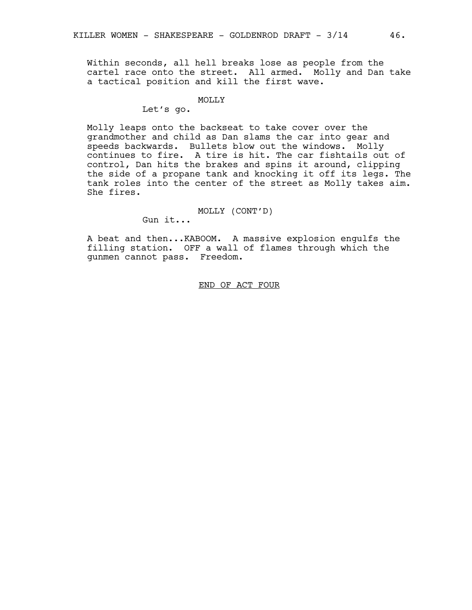Within seconds, all hell breaks lose as people from the cartel race onto the street. All armed. Molly and Dan take a tactical position and kill the first wave.

#### MOLLY

# Let's go.

Molly leaps onto the backseat to take cover over the grandmother and child as Dan slams the car into gear and speeds backwards. Bullets blow out the windows. Molly continues to fire. A tire is hit. The car fishtails out of control, Dan hits the brakes and spins it around, clipping the side of a propane tank and knocking it off its legs. The tank roles into the center of the street as Molly takes aim. She fires.

#### MOLLY (CONT'D)

Gun it...

A beat and then...KABOOM. A massive explosion engulfs the filling station. OFF a wall of flames through which the gunmen cannot pass. Freedom.

## END OF ACT FOUR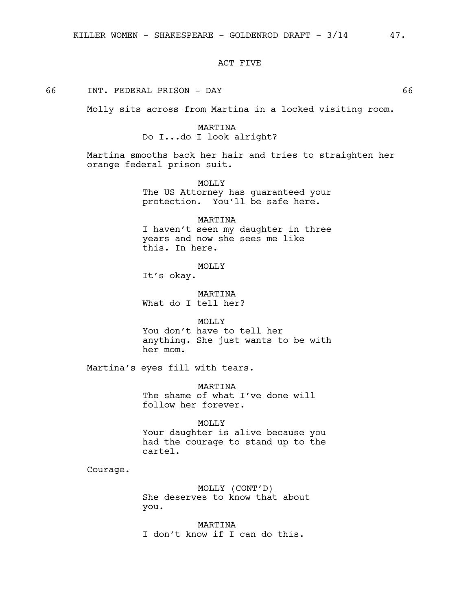#### ACT FIVE

# 66 INT. FEDERAL PRISON - DAY 66

Molly sits across from Martina in a locked visiting room.

# MARTINA Do I...do I look alright?

Martina smooths back her hair and tries to straighten her orange federal prison suit.

> MOLLY The US Attorney has guaranteed your protection. You'll be safe here.

> MARTINA I haven't seen my daughter in three years and now she sees me like this. In here.

> > MOLLY

It's okay.

MARTINA What do I tell her?

MOLLY You don't have to tell her anything. She just wants to be with her mom.

Martina's eyes fill with tears.

MARTINA The shame of what I've done will follow her forever.

MOLLY Your daughter is alive because you had the courage to stand up to the cartel.

Courage.

MOLLY (CONT'D) She deserves to know that about you.

MARTINA I don't know if I can do this.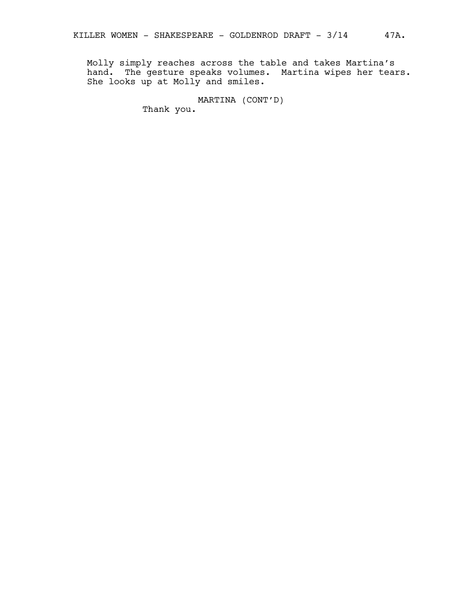Molly simply reaches across the table and takes Martina's hand. The gesture speaks volumes. Martina wipes her tears. She looks up at Molly and smiles.

MARTINA (CONT'D)

Thank you.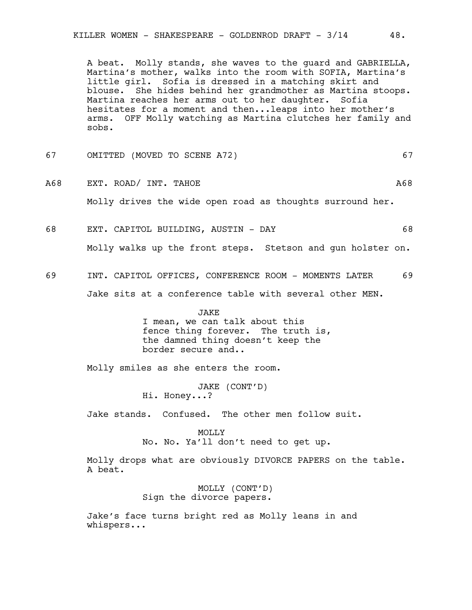A beat. Molly stands, she waves to the guard and GABRIELLA, Martina's mother, walks into the room with SOFIA, Martina's little girl. Sofia is dressed in a matching skirt and blouse. She hides behind her grandmother as Martina stoops. Martina reaches her arms out to her daughter. Sofia hesitates for a moment and then...leaps into her mother's arms. OFF Molly watching as Martina clutches her family and sobs.

- 67 OMITTED (MOVED TO SCENE A72) 67
- A68 EXT. ROAD/INT. TAHOE A68 Molly drives the wide open road as thoughts surround her.
- 68 EXT. CAPITOL BUILDING, AUSTIN DAY 68

Molly walks up the front steps. Stetson and gun holster on.

69 INT. CAPITOL OFFICES, CONFERENCE ROOM - MOMENTS LATER 69 Jake sits at a conference table with several other MEN.

> JAKE I mean, we can talk about this fence thing forever. The truth is, the damned thing doesn't keep the border secure and..

Molly smiles as she enters the room.

JAKE (CONT'D) Hi. Honey...?

Jake stands. Confused. The other men follow suit.

MOLLY No. No. Ya'll don't need to get up.

Molly drops what are obviously DIVORCE PAPERS on the table. A beat.

> MOLLY (CONT'D) Sign the divorce papers.

Jake's face turns bright red as Molly leans in and whispers...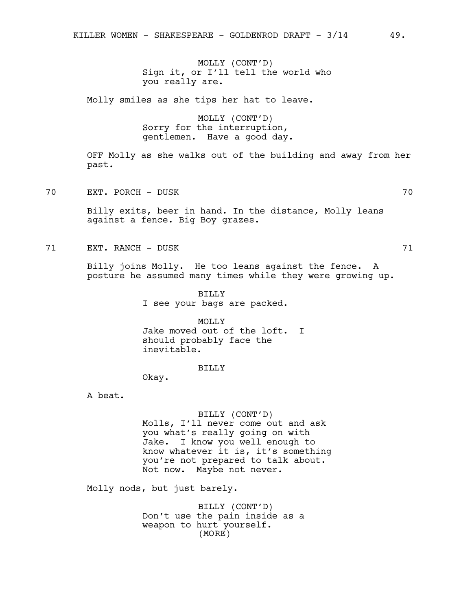MOLLY (CONT'D) Sign it, or I'll tell the world who you really are.

Molly smiles as she tips her hat to leave.

MOLLY (CONT'D) Sorry for the interruption, gentlemen. Have a good day.

OFF Molly as she walks out of the building and away from her past.

70 EXT. PORCH - DUSK 70

Billy exits, beer in hand. In the distance, Molly leans against a fence. Big Boy grazes.

71 EXT. RANCH – DUSK 71

Billy joins Molly. He too leans against the fence. A posture he assumed many times while they were growing up.

> BILLY I see your bags are packed.

MOLLY Jake moved out of the loft. I should probably face the inevitable.

BILLY

Okay.

A beat.

# BILLY (CONT'D)

Molls, I'll never come out and ask you what's really going on with Jake. I know you well enough to know whatever it is, it's something you're not prepared to talk about. Not now. Maybe not never.

Molly nods, but just barely.

BILLY (CONT'D) Don't use the pain inside as a weapon to hurt yourself. (MORE)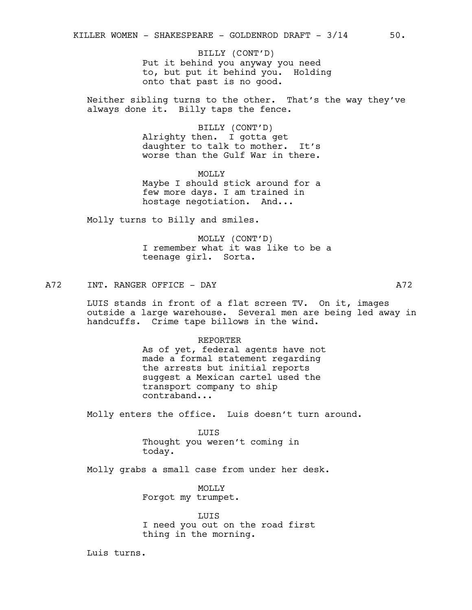Put it behind you anyway you need to, but put it behind you. Holding onto that past is no good. BILLY (CONT'D)

Neither sibling turns to the other. That's the way they've always done it. Billy taps the fence.

> BILLY (CONT'D) Alrighty then. I gotta get daughter to talk to mother. It's worse than the Gulf War in there.

> **MOLLY** Maybe I should stick around for a few more days. I am trained in hostage negotiation. And...

Molly turns to Billy and smiles.

MOLLY (CONT'D) I remember what it was like to be a teenage girl. Sorta.

A72 INT. RANGER OFFICE - DAY A72

LUIS stands in front of a flat screen TV. On it, images outside a large warehouse. Several men are being led away in handcuffs. Crime tape billows in the wind.

#### REPORTER

As of yet, federal agents have not made a formal statement regarding the arrests but initial reports suggest a Mexican cartel used the transport company to ship contraband...

Molly enters the office. Luis doesn't turn around.

LUIS Thought you weren't coming in today.

Molly grabs a small case from under her desk.

MOLLY Forgot my trumpet.

LUIS I need you out on the road first thing in the morning.

Luis turns.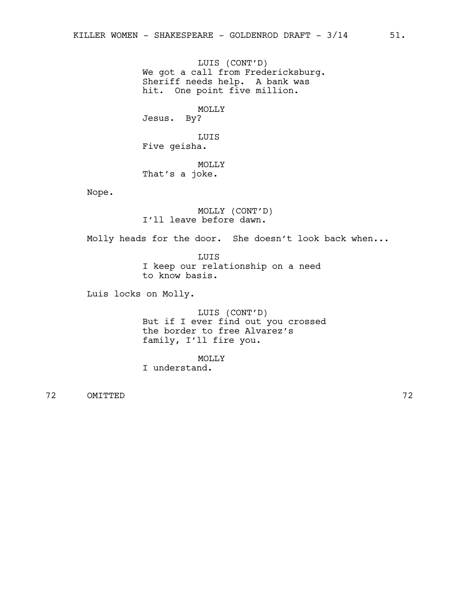LUIS (CONT'D) We got a call from Fredericksburg. Sheriff needs help. A bank was hit. One point five million.

MOLLY Jesus. By?

LUIS Five geisha.

MOLLY That's a joke.

Nope.

MOLLY (CONT'D) I'll leave before dawn.

Molly heads for the door. She doesn't look back when...

LUIS I keep our relationship on a need to know basis.

Luis locks on Molly.

LUIS (CONT'D) But if I ever find out you crossed the border to free Alvarez's family, I'll fire you.

MOLLY I understand.

72 OMITTED 72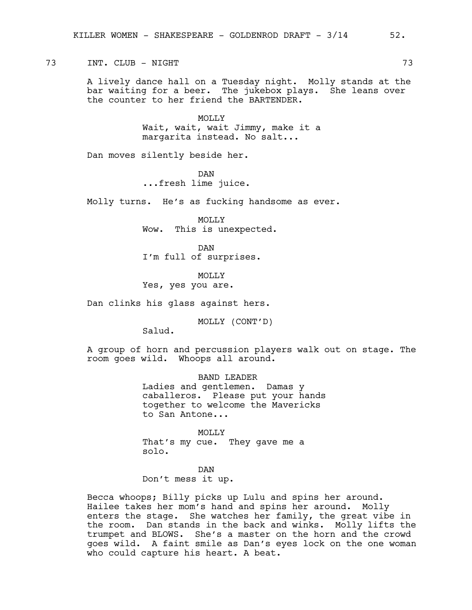## 73 INT. CLUB - NIGHT 73

A lively dance hall on a Tuesday night. Molly stands at the bar waiting for a beer. The jukebox plays. She leans over the counter to her friend the BARTENDER.

> MOLLY Wait, wait, wait Jimmy, make it a margarita instead. No salt...

Dan moves silently beside her.

DAN

...fresh lime juice.

Molly turns. He's as fucking handsome as ever.

MOLLY Wow. This is unexpected.

DAN I'm full of surprises.

MOLLY

Yes, yes you are.

Dan clinks his glass against hers.

MOLLY (CONT'D)

Salud.

A group of horn and percussion players walk out on stage. The room goes wild. Whoops all around.

> BAND LEADER Ladies and gentlemen. Damas y caballeros. Please put your hands together to welcome the Mavericks to San Antone...

MOLLY That's my cue. They gave me a solo.

DAN Don't mess it up.

Becca whoops; Billy picks up Lulu and spins her around. Hailee takes her mom's hand and spins her around. Molly enters the stage. She watches her family, the great vibe in the room. Dan stands in the back and winks. Molly lifts the trumpet and BLOWS. She's a master on the horn and the crowd goes wild. A faint smile as Dan's eyes lock on the one woman who could capture his heart. A beat.